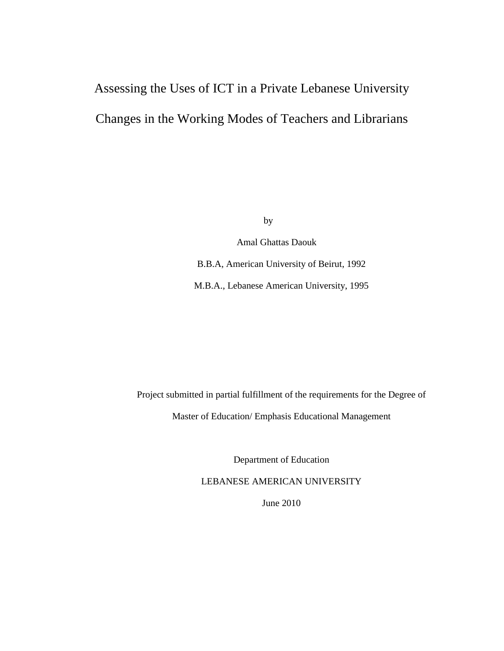# Assessing the Uses of ICT in a Private Lebanese University Changes in the Working Modes of Teachers and Librarians

by

 Amal Ghattas Daouk B.B.A, American University of Beirut, 1992 M.B.A., Lebanese American University, 1995

Project submitted in partial fulfillment of the requirements for the Degree of Master of Education/ Emphasis Educational Management

Department of Education

LEBANESE AMERICAN UNIVERSITY

June 2010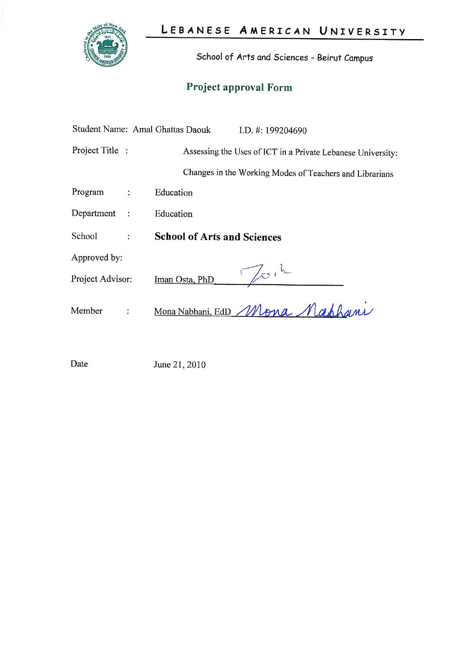

School of Arts and Sciences - Beirut Campus

# Project approval Form

|                         |            | Student Name: Amal Ghattas Daouk   | I.D. $\#$ : 199204690                                       |
|-------------------------|------------|------------------------------------|-------------------------------------------------------------|
| Project Title :         |            |                                    | Assessing the Uses of ICT in a Private Lebanese University: |
|                         |            |                                    | Changes in the Working Modes of Teachers and Librarians     |
| Program                 |            | Education                          |                                                             |
| Department<br>$\cdot$ : |            | Education                          |                                                             |
| School                  |            | <b>School of Arts and Sciences</b> |                                                             |
| Approved by:            |            |                                    |                                                             |
| Project Advisor:        |            | Iman Osta, PhD                     | $\sqrt{2}$                                                  |
| Member                  | $\ddot{ }$ |                                    | Mona Nabhani, EdD Mona Mahhami                              |

Date June 21, 2010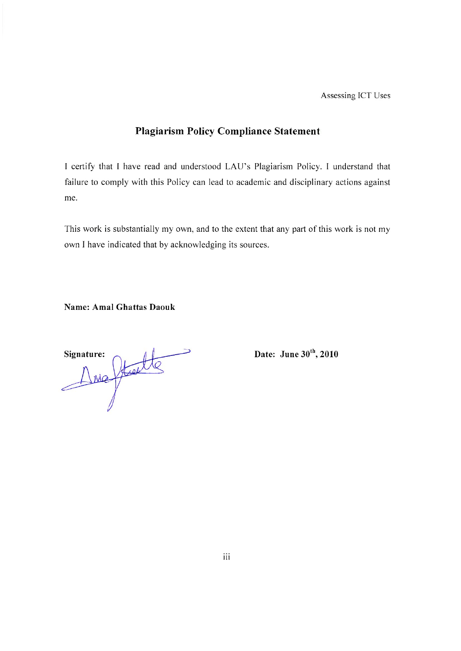Assessing ICT Uses

# **Plagiarism Policy Compliance Statement**

I certify that I have read and understood LAU's Plagiarism Policy. I understand that failure to comply with this Policy can lead to academic and disciplinary actions against me.

This work is substantially my own, and to the extent that any part of this work is not my own I have indicated that by acknowledging its sources.

**Name: Amal Ghattas Daouk** 

Die Statte

Date: June 30<sup>th</sup>, 2010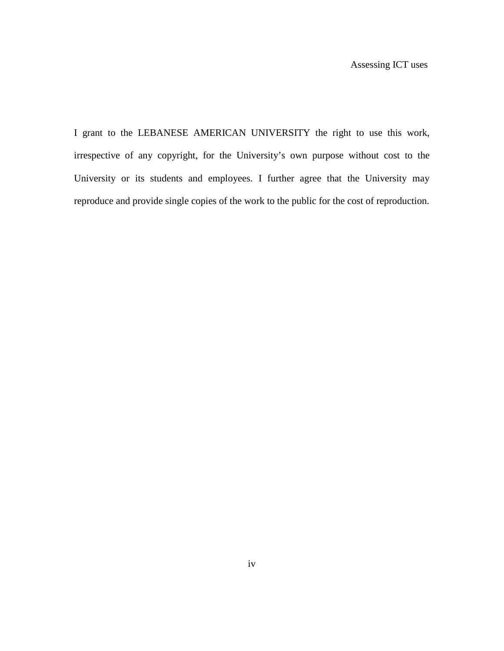I grant to the LEBANESE AMERICAN UNIVERSITY the right to use this work, irrespective of any copyright, for the University's own purpose without cost to the University or its students and employees. I further agree that the University may reproduce and provide single copies of the work to the public for the cost of reproduction.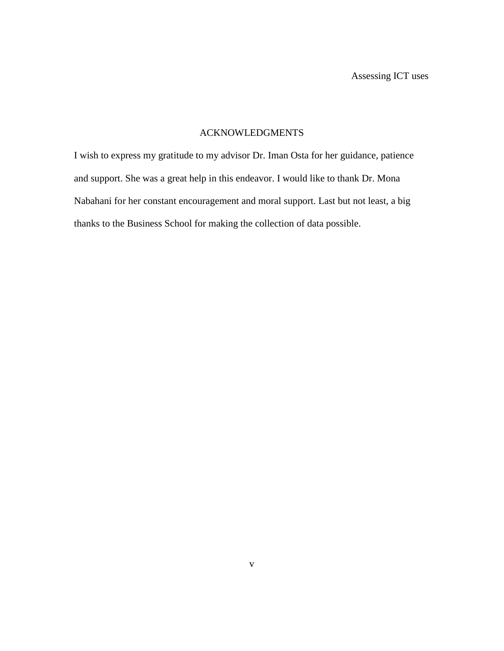# ACKNOWLEDGMENTS

I wish to express my gratitude to my advisor Dr. Iman Osta for her guidance, patience and support. She was a great help in this endeavor. I would like to thank Dr. Mona Nabahani for her constant encouragement and moral support. Last but not least, a big thanks to the Business School for making the collection of data possible.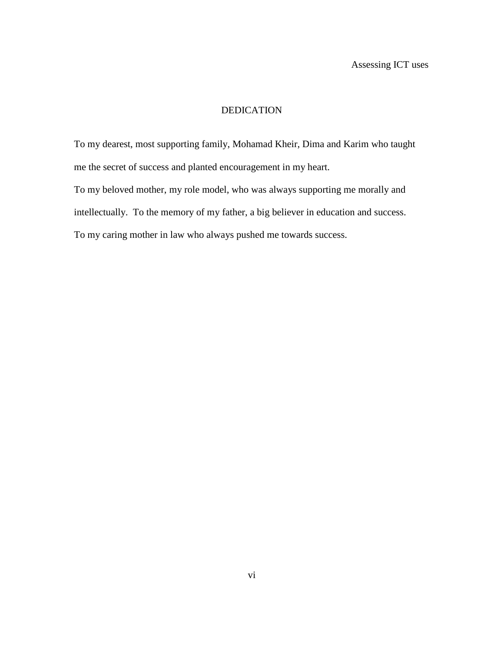# DEDICATION

To my dearest, most supporting family, Mohamad Kheir, Dima and Karim who taught me the secret of success and planted encouragement in my heart.

To my beloved mother, my role model, who was always supporting me morally and intellectually. To the memory of my father, a big believer in education and success. To my caring mother in law who always pushed me towards success.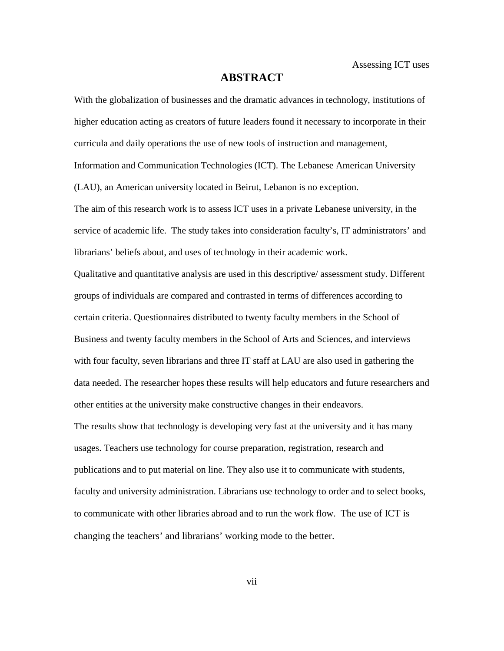### **ABSTRACT**

With the globalization of businesses and the dramatic advances in technology, institutions of higher education acting as creators of future leaders found it necessary to incorporate in their curricula and daily operations the use of new tools of instruction and management, Information and Communication Technologies (ICT). The Lebanese American University (LAU), an American university located in Beirut, Lebanon is no exception. The aim of this research work is to assess ICT uses in a private Lebanese university, in the service of academic life. The study takes into consideration faculty's, IT administrators' and

librarians' beliefs about, and uses of technology in their academic work.

Qualitative and quantitative analysis are used in this descriptive/ assessment study. Different groups of individuals are compared and contrasted in terms of differences according to certain criteria. Questionnaires distributed to twenty faculty members in the School of Business and twenty faculty members in the School of Arts and Sciences, and interviews with four faculty, seven librarians and three IT staff at LAU are also used in gathering the data needed. The researcher hopes these results will help educators and future researchers and other entities at the university make constructive changes in their endeavors. The results show that technology is developing very fast at the university and it has many usages. Teachers use technology for course preparation, registration, research and publications and to put material on line. They also use it to communicate with students, faculty and university administration. Librarians use technology to order and to select books, to communicate with other libraries abroad and to run the work flow. The use of ICT is changing the teachers' and librarians' working mode to the better.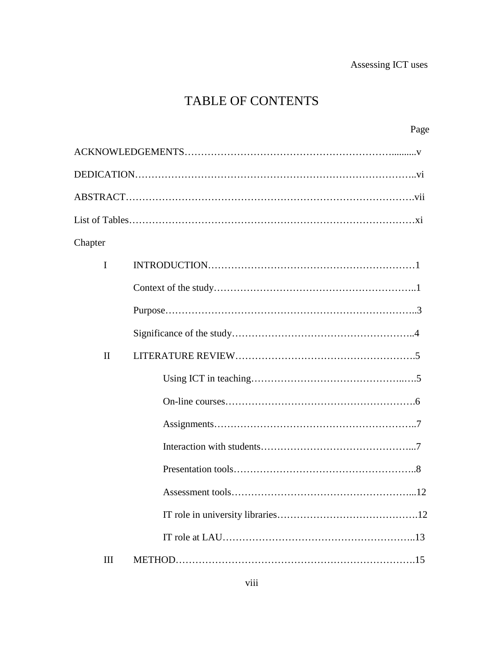# TABLE OF CONTENTS

|              | Page                   |
|--------------|------------------------|
|              |                        |
|              |                        |
|              |                        |
|              |                        |
| Chapter      |                        |
| $\mathbf I$  |                        |
|              |                        |
|              |                        |
|              |                        |
| $\mathbf{I}$ |                        |
|              |                        |
|              |                        |
|              |                        |
|              |                        |
|              |                        |
|              | 12<br>Assessment tools |
|              |                        |
|              |                        |
| III          |                        |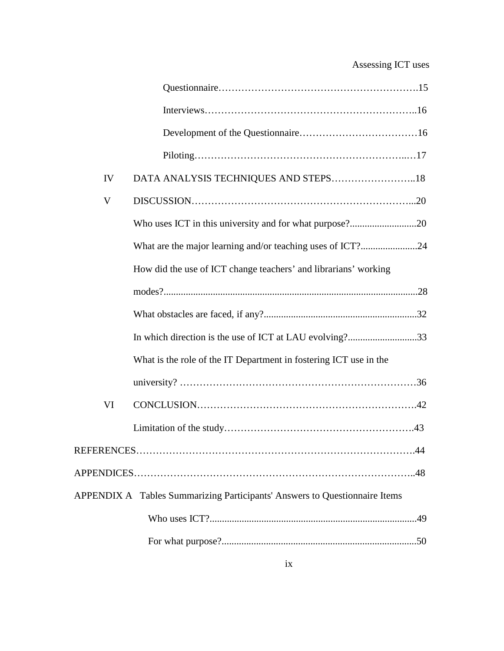# Assessing ICT uses

| IV | DATA ANALYSIS TECHNIQUES AND STEPS18                                       |  |
|----|----------------------------------------------------------------------------|--|
| V  |                                                                            |  |
|    | Who uses ICT in this university and for what purpose?20                    |  |
|    | What are the major learning and/or teaching uses of ICT?24                 |  |
|    | How did the use of ICT change teachers' and librarians' working            |  |
|    |                                                                            |  |
|    |                                                                            |  |
|    | In which direction is the use of ICT at LAU evolving?33                    |  |
|    | What is the role of the IT Department in fostering ICT use in the          |  |
|    |                                                                            |  |
| VI |                                                                            |  |
|    |                                                                            |  |
|    |                                                                            |  |
|    |                                                                            |  |
|    | APPENDIX A Tables Summarizing Participants' Answers to Questionnaire Items |  |
|    |                                                                            |  |
|    |                                                                            |  |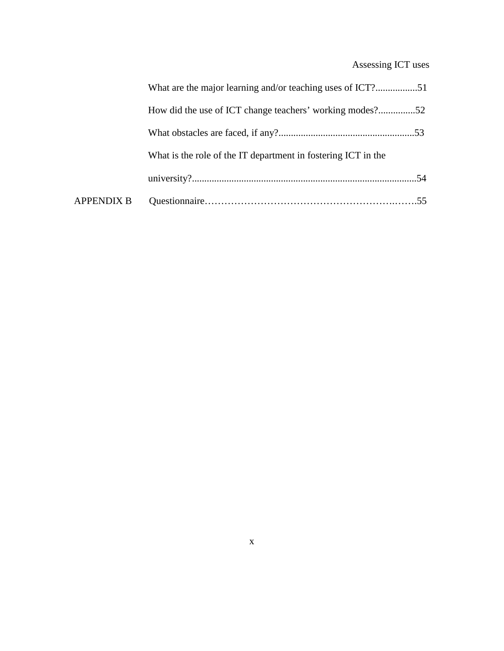# Assessing ICT uses

|                   | What are the major learning and/or teaching uses of ICT?51    |  |
|-------------------|---------------------------------------------------------------|--|
|                   | How did the use of ICT change teachers' working modes?52      |  |
|                   |                                                               |  |
|                   | What is the role of the IT department in fostering ICT in the |  |
|                   |                                                               |  |
| <b>APPENDIX B</b> |                                                               |  |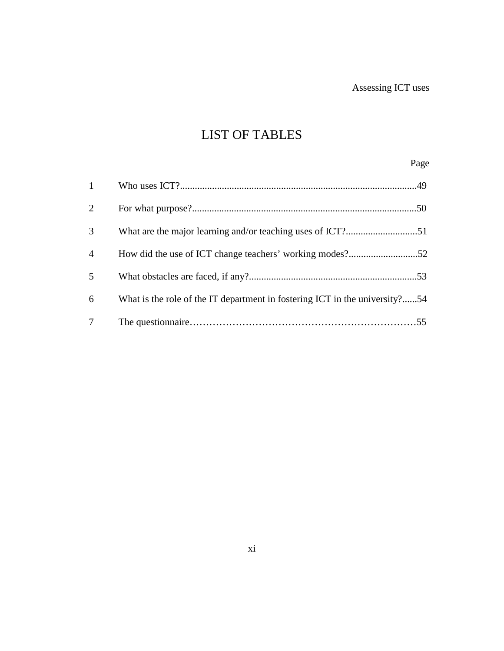# LIST OF TABLES

# Page

| $\mathbf{1}$   |                                                                             |  |
|----------------|-----------------------------------------------------------------------------|--|
| 2              |                                                                             |  |
| 3              |                                                                             |  |
| $\overline{4}$ | How did the use of ICT change teachers' working modes?52                    |  |
| 5              |                                                                             |  |
| 6              | What is the role of the IT department in fostering ICT in the university?54 |  |
| $\tau$         |                                                                             |  |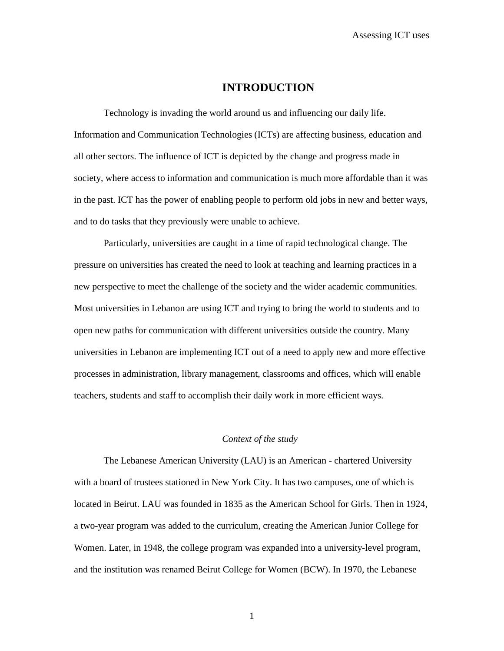# **INTRODUCTION**

Technology is invading the world around us and influencing our daily life. Information and Communication Technologies (ICTs) are affecting business, education and all other sectors. The influence of ICT is depicted by the change and progress made in society, where access to information and communication is much more affordable than it was in the past. ICT has the power of enabling people to perform old jobs in new and better ways, and to do tasks that they previously were unable to achieve.

Particularly, universities are caught in a time of rapid technological change. The pressure on universities has created the need to look at teaching and learning practices in a new perspective to meet the challenge of the society and the wider academic communities. Most universities in Lebanon are using ICT and trying to bring the world to students and to open new paths for communication with different universities outside the country. Many universities in Lebanon are implementing ICT out of a need to apply new and more effective processes in administration, library management, classrooms and offices, which will enable teachers, students and staff to accomplish their daily work in more efficient ways.

### *Context of the study*

The Lebanese American University (LAU) is an American - chartered University with a board of trustees stationed in New York City. It has two campuses, one of which is located in Beirut. LAU was founded in 1835 as the American School for Girls. Then in 1924, a two-year program was added to the curriculum, creating the American Junior College for Women. Later, in 1948, the college program was expanded into a university-level program, and the institution was renamed Beirut College for Women (BCW). In 1970, the Lebanese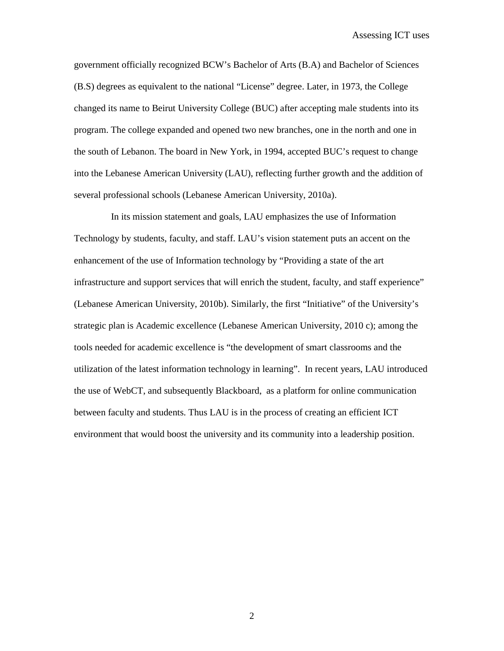government officially recognized BCW's Bachelor of Arts (B.A) and Bachelor of Sciences (B.S) degrees as equivalent to the national "License" degree. Later, in 1973, the College changed its name to Beirut University College (BUC) after accepting male students into its program. The college expanded and opened two new branches, one in the north and one in the south of Lebanon. The board in New York, in 1994, accepted BUC's request to change into the Lebanese American University (LAU), reflecting further growth and the addition of several professional schools (Lebanese American University, 2010a).

In its mission statement and goals, LAU emphasizes the use of Information Technology by students, faculty, and staff. LAU's vision statement puts an accent on the enhancement of the use of Information technology by "Providing a state of the art infrastructure and support services that will enrich the student, faculty, and staff experience" (Lebanese American University, 2010b). Similarly, the first "Initiative" of the University's strategic plan is Academic excellence (Lebanese American University, 2010 c); among the tools needed for academic excellence is "the development of smart classrooms and the utilization of the latest information technology in learning". In recent years, LAU introduced the use of WebCT, and subsequently Blackboard, as a platform for online communication between faculty and students. Thus LAU is in the process of creating an efficient ICT environment that would boost the university and its community into a leadership position.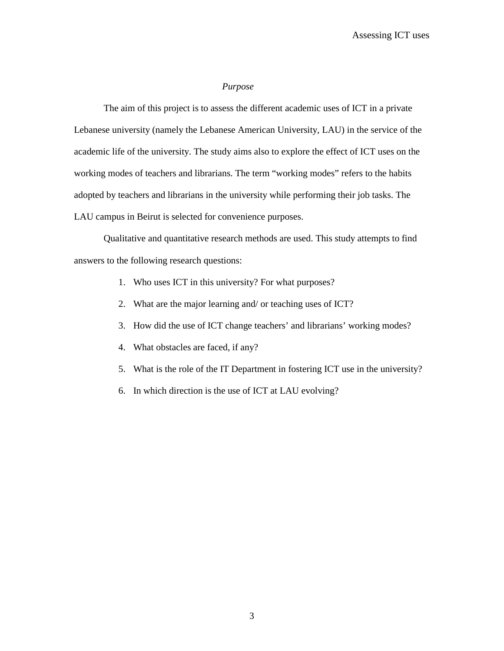#### *Purpose*

The aim of this project is to assess the different academic uses of ICT in a private Lebanese university (namely the Lebanese American University, LAU) in the service of the academic life of the university. The study aims also to explore the effect of ICT uses on the working modes of teachers and librarians. The term "working modes" refers to the habits adopted by teachers and librarians in the university while performing their job tasks. The LAU campus in Beirut is selected for convenience purposes.

Qualitative and quantitative research methods are used. This study attempts to find answers to the following research questions:

- 1. Who uses ICT in this university? For what purposes?
- 2. What are the major learning and/ or teaching uses of ICT?
- 3. How did the use of ICT change teachers' and librarians' working modes?
- 4. What obstacles are faced, if any?
- 5. What is the role of the IT Department in fostering ICT use in the university?
- 6. In which direction is the use of ICT at LAU evolving?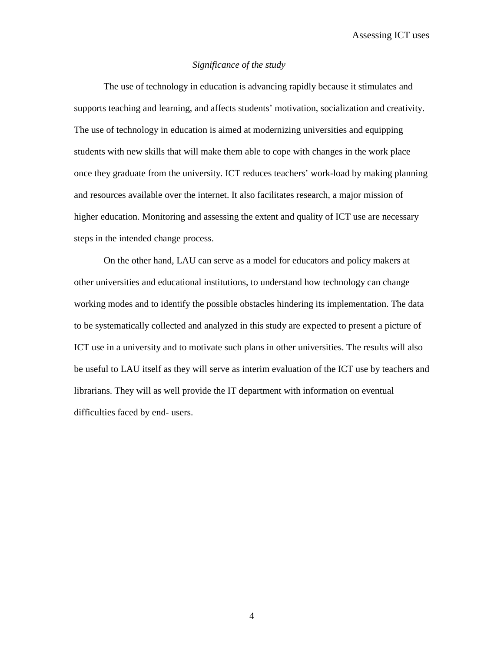Assessing ICT uses

#### *Significance of the study*

The use of technology in education is advancing rapidly because it stimulates and supports teaching and learning, and affects students' motivation, socialization and creativity. The use of technology in education is aimed at modernizing universities and equipping students with new skills that will make them able to cope with changes in the work place once they graduate from the university. ICT reduces teachers' work-load by making planning and resources available over the internet. It also facilitates research, a major mission of higher education. Monitoring and assessing the extent and quality of ICT use are necessary steps in the intended change process.

On the other hand, LAU can serve as a model for educators and policy makers at other universities and educational institutions, to understand how technology can change working modes and to identify the possible obstacles hindering its implementation. The data to be systematically collected and analyzed in this study are expected to present a picture of ICT use in a university and to motivate such plans in other universities. The results will also be useful to LAU itself as they will serve as interim evaluation of the ICT use by teachers and librarians. They will as well provide the IT department with information on eventual difficulties faced by end- users.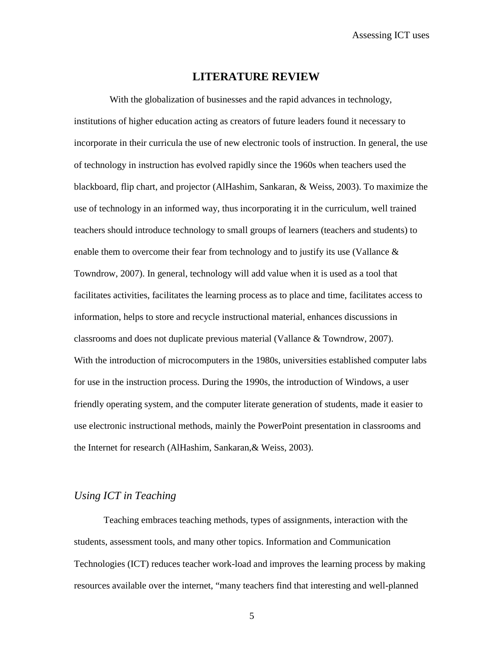### **LITERATURE REVIEW**

 With the globalization of businesses and the rapid advances in technology, institutions of higher education acting as creators of future leaders found it necessary to incorporate in their curricula the use of new electronic tools of instruction. In general, the use of technology in instruction has evolved rapidly since the 1960s when teachers used the blackboard, flip chart, and projector (AlHashim, Sankaran, & Weiss, 2003). To maximize the use of technology in an informed way, thus incorporating it in the curriculum, well trained teachers should introduce technology to small groups of learners (teachers and students) to enable them to overcome their fear from technology and to justify its use (Vallance  $\&$ Towndrow, 2007). In general, technology will add value when it is used as a tool that facilitates activities, facilitates the learning process as to place and time, facilitates access to information, helps to store and recycle instructional material, enhances discussions in classrooms and does not duplicate previous material (Vallance & Towndrow, 2007). With the introduction of microcomputers in the 1980s, universities established computer labs for use in the instruction process. During the 1990s, the introduction of Windows, a user friendly operating system, and the computer literate generation of students, made it easier to use electronic instructional methods, mainly the PowerPoint presentation in classrooms and the Internet for research (AlHashim, Sankaran,& Weiss, 2003).

## *Using ICT in Teaching*

Teaching embraces teaching methods, types of assignments, interaction with the students, assessment tools, and many other topics. Information and Communication Technologies (ICT) reduces teacher work-load and improves the learning process by making resources available over the internet, "many teachers find that interesting and well-planned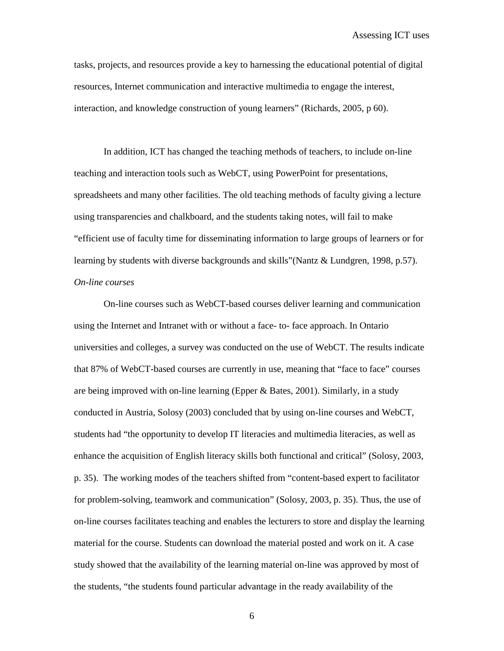tasks, projects, and resources provide a key to harnessing the educational potential of digital resources, Internet communication and interactive multimedia to engage the interest, interaction, and knowledge construction of young learners" (Richards, 2005, p 60).

In addition, ICT has changed the teaching methods of teachers, to include on-line teaching and interaction tools such as WebCT, using PowerPoint for presentations, spreadsheets and many other facilities. The old teaching methods of faculty giving a lecture using transparencies and chalkboard, and the students taking notes, will fail to make "efficient use of faculty time for disseminating information to large groups of learners or for learning by students with diverse backgrounds and skills"(Nantz & Lundgren, 1998, p.57). *On-line courses* 

On-line courses such as WebCT-based courses deliver learning and communication using the Internet and Intranet with or without a face- to- face approach. In Ontario universities and colleges, a survey was conducted on the use of WebCT. The results indicate that 87% of WebCT-based courses are currently in use, meaning that "face to face" courses are being improved with on-line learning (Epper & Bates, 2001). Similarly, in a study conducted in Austria, Solosy (2003) concluded that by using on-line courses and WebCT, students had "the opportunity to develop IT literacies and multimedia literacies, as well as enhance the acquisition of English literacy skills both functional and critical" (Solosy, 2003, p. 35). The working modes of the teachers shifted from "content-based expert to facilitator for problem-solving, teamwork and communication" (Solosy, 2003, p. 35). Thus, the use of on-line courses facilitates teaching and enables the lecturers to store and display the learning material for the course. Students can download the material posted and work on it. A case study showed that the availability of the learning material on-line was approved by most of the students, "the students found particular advantage in the ready availability of the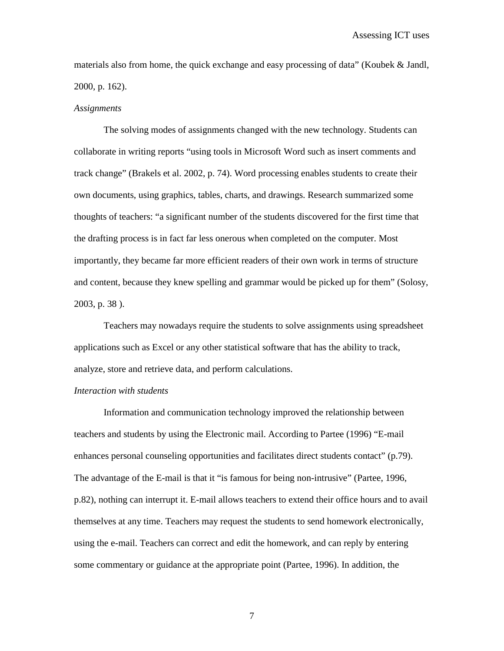materials also from home, the quick exchange and easy processing of data" (Koubek & Jandl, 2000, p. 162).

#### *Assignments*

The solving modes of assignments changed with the new technology. Students can collaborate in writing reports "using tools in Microsoft Word such as insert comments and track change" (Brakels et al. 2002, p. 74). Word processing enables students to create their own documents, using graphics, tables, charts, and drawings. Research summarized some thoughts of teachers: "a significant number of the students discovered for the first time that the drafting process is in fact far less onerous when completed on the computer. Most importantly, they became far more efficient readers of their own work in terms of structure and content, because they knew spelling and grammar would be picked up for them" (Solosy, 2003, p. 38 ).

Teachers may nowadays require the students to solve assignments using spreadsheet applications such as Excel or any other statistical software that has the ability to track, analyze, store and retrieve data, and perform calculations.

#### *Interaction with students*

Information and communication technology improved the relationship between teachers and students by using the Electronic mail. According to Partee (1996) "E-mail enhances personal counseling opportunities and facilitates direct students contact" (p.79). The advantage of the E-mail is that it "is famous for being non-intrusive" (Partee, 1996, p.82), nothing can interrupt it. E-mail allows teachers to extend their office hours and to avail themselves at any time. Teachers may request the students to send homework electronically, using the e-mail. Teachers can correct and edit the homework, and can reply by entering some commentary or guidance at the appropriate point (Partee, 1996). In addition, the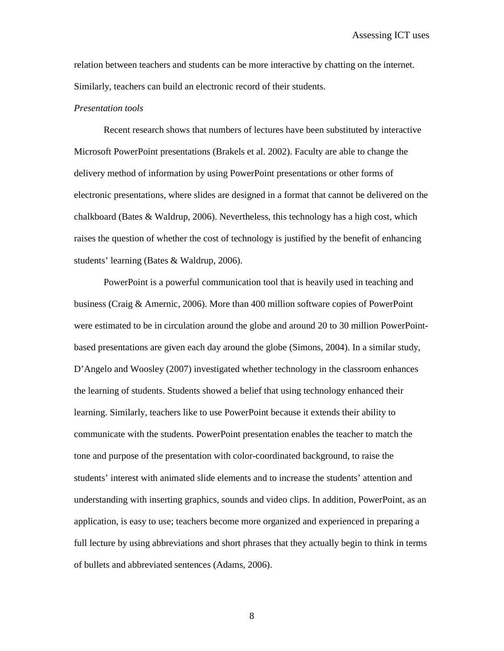relation between teachers and students can be more interactive by chatting on the internet. Similarly, teachers can build an electronic record of their students.

#### *Presentation tools*

Recent research shows that numbers of lectures have been substituted by interactive Microsoft PowerPoint presentations (Brakels et al. 2002). Faculty are able to change the delivery method of information by using PowerPoint presentations or other forms of electronic presentations, where slides are designed in a format that cannot be delivered on the chalkboard (Bates & Waldrup, 2006). Nevertheless, this technology has a high cost, which raises the question of whether the cost of technology is justified by the benefit of enhancing students' learning (Bates & Waldrup, 2006).

PowerPoint is a powerful communication tool that is heavily used in teaching and business (Craig & Amernic, 2006). More than 400 million software copies of PowerPoint were estimated to be in circulation around the globe and around 20 to 30 million PowerPointbased presentations are given each day around the globe (Simons, 2004). In a similar study, D'Angelo and Woosley (2007) investigated whether technology in the classroom enhances the learning of students. Students showed a belief that using technology enhanced their learning. Similarly, teachers like to use PowerPoint because it extends their ability to communicate with the students. PowerPoint presentation enables the teacher to match the tone and purpose of the presentation with color-coordinated background, to raise the students' interest with animated slide elements and to increase the students' attention and understanding with inserting graphics, sounds and video clips. In addition, PowerPoint, as an application, is easy to use; teachers become more organized and experienced in preparing a full lecture by using abbreviations and short phrases that they actually begin to think in terms of bullets and abbreviated sentences (Adams, 2006).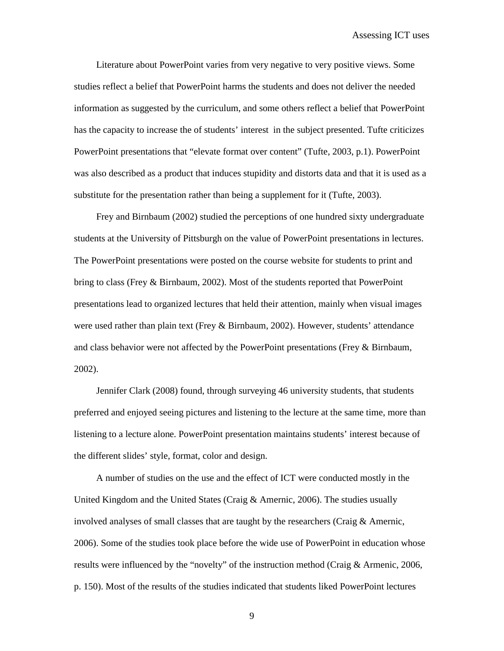Literature about PowerPoint varies from very negative to very positive views. Some studies reflect a belief that PowerPoint harms the students and does not deliver the needed information as suggested by the curriculum, and some others reflect a belief that PowerPoint has the capacity to increase the of students' interest in the subject presented. Tufte criticizes PowerPoint presentations that "elevate format over content" (Tufte, 2003, p.1). PowerPoint was also described as a product that induces stupidity and distorts data and that it is used as a substitute for the presentation rather than being a supplement for it (Tufte, 2003).

Frey and Birnbaum (2002) studied the perceptions of one hundred sixty undergraduate students at the University of Pittsburgh on the value of PowerPoint presentations in lectures. The PowerPoint presentations were posted on the course website for students to print and bring to class (Frey & Birnbaum, 2002). Most of the students reported that PowerPoint presentations lead to organized lectures that held their attention, mainly when visual images were used rather than plain text (Frey & Birnbaum, 2002). However, students' attendance and class behavior were not affected by the PowerPoint presentations (Frey & Birnbaum, 2002).

Jennifer Clark (2008) found, through surveying 46 university students, that students preferred and enjoyed seeing pictures and listening to the lecture at the same time, more than listening to a lecture alone. PowerPoint presentation maintains students' interest because of the different slides' style, format, color and design.

A number of studies on the use and the effect of ICT were conducted mostly in the United Kingdom and the United States (Craig & Amernic, 2006). The studies usually involved analyses of small classes that are taught by the researchers (Craig  $\&$  Amernic, 2006). Some of the studies took place before the wide use of PowerPoint in education whose results were influenced by the "novelty" of the instruction method (Craig & Armenic, 2006, p. 150). Most of the results of the studies indicated that students liked PowerPoint lectures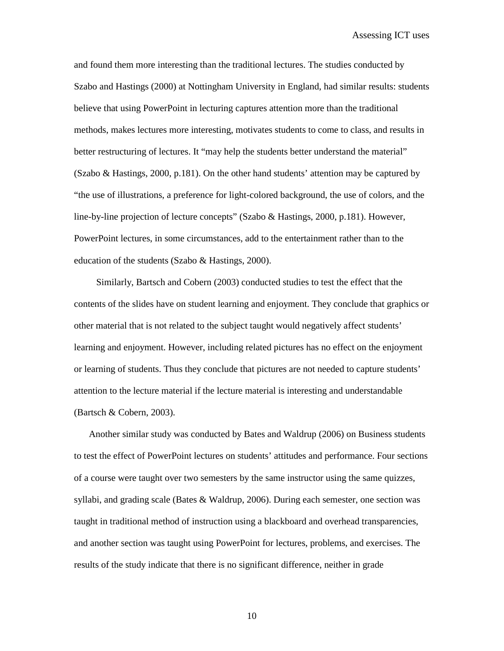and found them more interesting than the traditional lectures. The studies conducted by Szabo and Hastings (2000) at Nottingham University in England, had similar results: students believe that using PowerPoint in lecturing captures attention more than the traditional methods, makes lectures more interesting, motivates students to come to class, and results in better restructuring of lectures. It "may help the students better understand the material" (Szabo & Hastings, 2000, p.181). On the other hand students' attention may be captured by "the use of illustrations, a preference for light-colored background, the use of colors, and the line-by-line projection of lecture concepts" (Szabo & Hastings, 2000, p.181). However, PowerPoint lectures, in some circumstances, add to the entertainment rather than to the education of the students (Szabo & Hastings, 2000).

Similarly, Bartsch and Cobern (2003) conducted studies to test the effect that the contents of the slides have on student learning and enjoyment. They conclude that graphics or other material that is not related to the subject taught would negatively affect students' learning and enjoyment. However, including related pictures has no effect on the enjoyment or learning of students. Thus they conclude that pictures are not needed to capture students' attention to the lecture material if the lecture material is interesting and understandable (Bartsch & Cobern, 2003).

Another similar study was conducted by Bates and Waldrup (2006) on Business students to test the effect of PowerPoint lectures on students' attitudes and performance. Four sections of a course were taught over two semesters by the same instructor using the same quizzes, syllabi, and grading scale (Bates  $&$  Waldrup, 2006). During each semester, one section was taught in traditional method of instruction using a blackboard and overhead transparencies, and another section was taught using PowerPoint for lectures, problems, and exercises. The results of the study indicate that there is no significant difference, neither in grade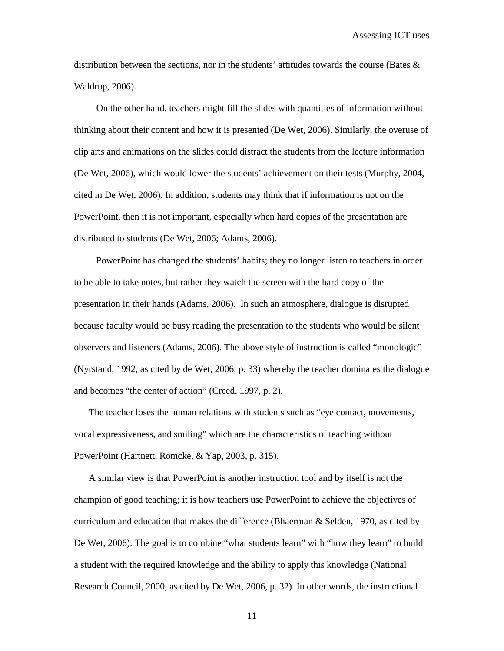distribution between the sections, nor in the students' attitudes towards the course (Bates  $\&$ Waldrup, 2006).

On the other hand, teachers might fill the slides with quantities of information without thinking about their content and how it is presented (De Wet, 2006). Similarly, the overuse of clip arts and animations on the slides could distract the students from the lecture information (De Wet, 2006), which would lower the students' achievement on their tests (Murphy, 2004, cited in De Wet, 2006). In addition, students may think that if information is not on the PowerPoint, then it is not important, especially when hard copies of the presentation are distributed to students (De Wet, 2006; Adams, 2006).

PowerPoint has changed the students' habits; they no longer listen to teachers in order to be able to take notes, but rather they watch the screen with the hard copy of the presentation in their hands (Adams, 2006). In such an atmosphere, dialogue is disrupted because faculty would be busy reading the presentation to the students who would be silent observers and listeners (Adams, 2006). The above style of instruction is called "monologic" (Nyrstand, 1992, as cited by de Wet, 2006, p. 33) whereby the teacher dominates the dialogue and becomes "the center of action" (Creed, 1997, p. 2).

The teacher loses the human relations with students such as "eye contact, movements, vocal expressiveness, and smiling" which are the characteristics of teaching without PowerPoint (Hartnett, Romcke, & Yap, 2003, p. 315).

A similar view is that PowerPoint is another instruction tool and by itself is not the champion of good teaching; it is how teachers use PowerPoint to achieve the objectives of curriculum and education that makes the difference (Bhaerman  $\&$  Selden, 1970, as cited by De Wet, 2006). The goal is to combine "what students learn" with "how they learn" to build a student with the required knowledge and the ability to apply this knowledge (National Research Council, 2000, as cited by De Wet, 2006, p. 32). In other words, the instructional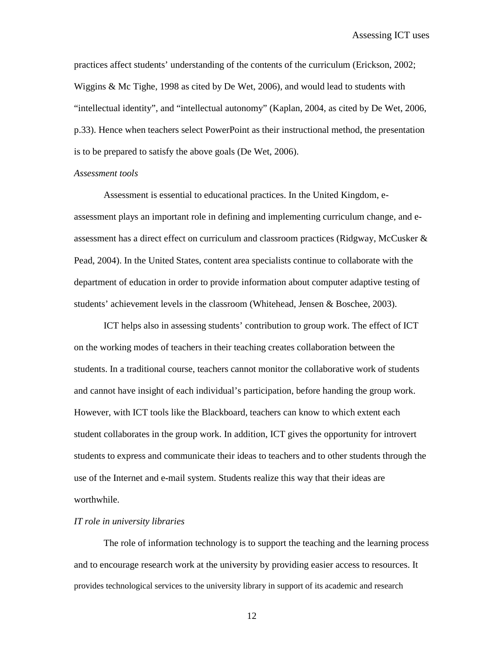practices affect students' understanding of the contents of the curriculum (Erickson, 2002; Wiggins & Mc Tighe, 1998 as cited by De Wet, 2006), and would lead to students with "intellectual identity", and "intellectual autonomy" (Kaplan, 2004, as cited by De Wet, 2006, p.33). Hence when teachers select PowerPoint as their instructional method, the presentation is to be prepared to satisfy the above goals (De Wet, 2006).

#### *Assessment tools*

Assessment is essential to educational practices. In the United Kingdom, eassessment plays an important role in defining and implementing curriculum change, and eassessment has a direct effect on curriculum and classroom practices (Ridgway, McCusker & Pead, 2004). In the United States, content area specialists continue to collaborate with the department of education in order to provide information about computer adaptive testing of students' achievement levels in the classroom (Whitehead, Jensen & Boschee, 2003).

ICT helps also in assessing students' contribution to group work. The effect of ICT on the working modes of teachers in their teaching creates collaboration between the students. In a traditional course, teachers cannot monitor the collaborative work of students and cannot have insight of each individual's participation, before handing the group work. However, with ICT tools like the Blackboard, teachers can know to which extent each student collaborates in the group work. In addition, ICT gives the opportunity for introvert students to express and communicate their ideas to teachers and to other students through the use of the Internet and e-mail system. Students realize this way that their ideas are worthwhile.

#### *IT role in university libraries*

The role of information technology is to support the teaching and the learning process and to encourage research work at the university by providing easier access to resources. It provides technological services to the university library in support of its academic and research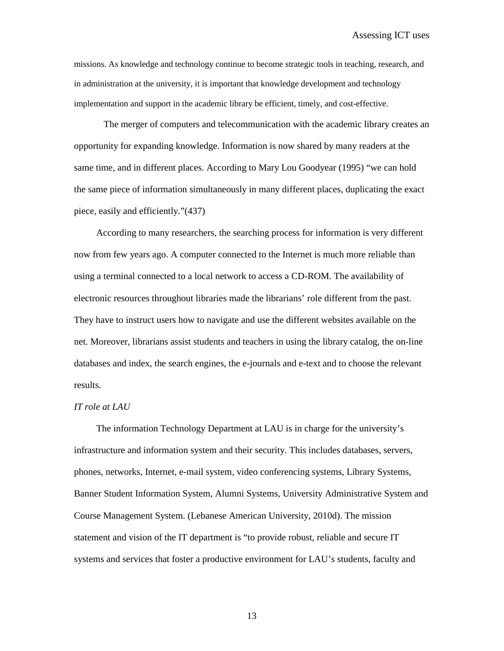missions. As knowledge and technology continue to become strategic tools in teaching, research, and in administration at the university, it is important that knowledge development and technology implementation and support in the academic library be efficient, timely, and cost-effective.

The merger of computers and telecommunication with the academic library creates an opportunity for expanding knowledge. Information is now shared by many readers at the same time, and in different places. According to Mary Lou Goodyear (1995) "we can hold the same piece of information simultaneously in many different places, duplicating the exact piece, easily and efficiently."(437)

According to many researchers, the searching process for information is very different now from few years ago. A computer connected to the Internet is much more reliable than using a terminal connected to a local network to access a CD-ROM. The availability of electronic resources throughout libraries made the librarians' role different from the past. They have to instruct users how to navigate and use the different websites available on the net. Moreover, librarians assist students and teachers in using the library catalog, the on-line databases and index, the search engines, the e-journals and e-text and to choose the relevant results.

#### *IT role at LAU*

The information Technology Department at LAU is in charge for the university's infrastructure and information system and their security. This includes databases, servers, phones, networks, Internet, e-mail system, video conferencing systems, Library Systems, Banner Student Information System, Alumni Systems, University Administrative System and Course Management System. (Lebanese American University, 2010d). The mission statement and vision of the IT department is "to provide robust, reliable and secure IT systems and services that foster a productive environment for LAU's students, faculty and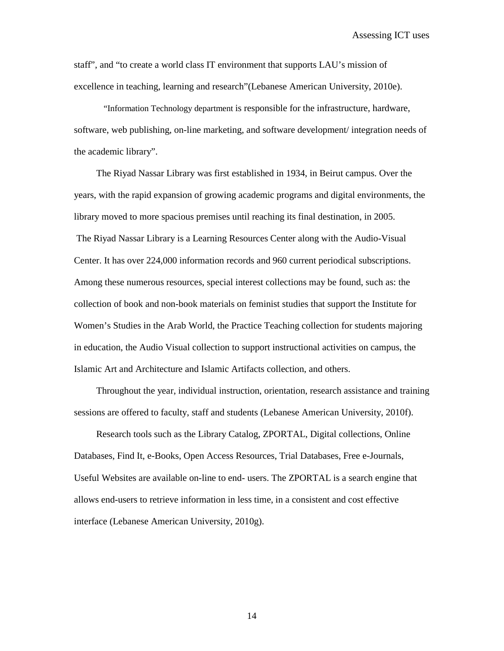staff", and "to create a world class IT environment that supports LAU's mission of excellence in teaching, learning and research"(Lebanese American University, 2010e).

"Information Technology department is responsible for the infrastructure, hardware, software, web publishing, on-line marketing, and software development/ integration needs of the academic library".

The Riyad Nassar Library was first established in 1934, in Beirut campus. Over the years, with the rapid expansion of growing academic programs and digital environments, the library moved to more spacious premises until reaching its final destination, in 2005. The Riyad Nassar Library is a Learning Resources Center along with the Audio-Visual Center. It has over 224,000 information records and 960 current periodical subscriptions. Among these numerous resources, special interest collections may be found, such as: the collection of book and non-book materials on feminist studies that support the Institute for Women's Studies in the Arab World, the Practice Teaching collection for students majoring in education, the Audio Visual collection to support instructional activities on campus, the Islamic Art and Architecture and Islamic Artifacts collection, and others.

Throughout the year, individual instruction, orientation, research assistance and training sessions are offered to faculty, staff and students (Lebanese American University, 2010f).

Research tools such as the Library Catalog, ZPORTAL, Digital collections, Online Databases, Find It, e-Books, Open Access Resources, Trial Databases, Free e-Journals, Useful Websites are available on-line to end- users. The ZPORTAL is a search engine that allows end-users to retrieve information in less time, in a consistent and cost effective interface (Lebanese American University, 2010g).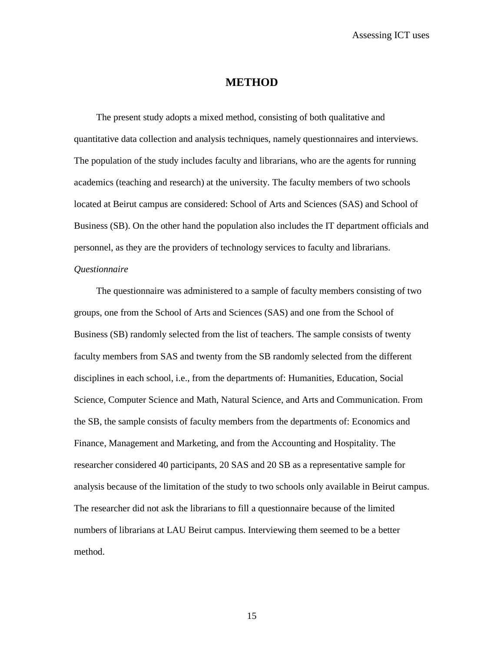Assessing ICT uses

# **METHOD**

The present study adopts a mixed method, consisting of both qualitative and quantitative data collection and analysis techniques, namely questionnaires and interviews. The population of the study includes faculty and librarians, who are the agents for running academics (teaching and research) at the university. The faculty members of two schools located at Beirut campus are considered: School of Arts and Sciences (SAS) and School of Business (SB). On the other hand the population also includes the IT department officials and personnel, as they are the providers of technology services to faculty and librarians.

### *Questionnaire*

The questionnaire was administered to a sample of faculty members consisting of two groups, one from the School of Arts and Sciences (SAS) and one from the School of Business (SB) randomly selected from the list of teachers. The sample consists of twenty faculty members from SAS and twenty from the SB randomly selected from the different disciplines in each school, i.e., from the departments of: Humanities, Education, Social Science, Computer Science and Math, Natural Science, and Arts and Communication. From the SB, the sample consists of faculty members from the departments of: Economics and Finance, Management and Marketing, and from the Accounting and Hospitality. The researcher considered 40 participants, 20 SAS and 20 SB as a representative sample for analysis because of the limitation of the study to two schools only available in Beirut campus. The researcher did not ask the librarians to fill a questionnaire because of the limited numbers of librarians at LAU Beirut campus. Interviewing them seemed to be a better method.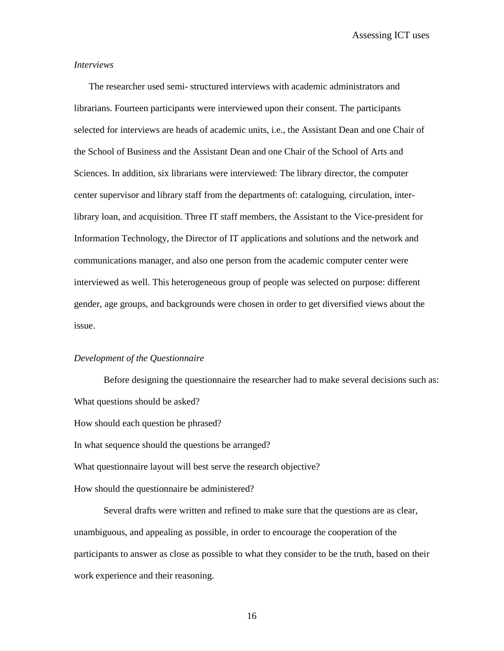Assessing ICT uses

#### *Interviews*

The researcher used semi- structured interviews with academic administrators and librarians. Fourteen participants were interviewed upon their consent. The participants selected for interviews are heads of academic units, i.e., the Assistant Dean and one Chair of the School of Business and the Assistant Dean and one Chair of the School of Arts and Sciences. In addition, six librarians were interviewed: The library director, the computer center supervisor and library staff from the departments of: cataloguing, circulation, interlibrary loan, and acquisition. Three IT staff members, the Assistant to the Vice-president for Information Technology, the Director of IT applications and solutions and the network and communications manager, and also one person from the academic computer center were interviewed as well. This heterogeneous group of people was selected on purpose: different gender, age groups, and backgrounds were chosen in order to get diversified views about the issue.

#### *Development of the Questionnaire*

Before designing the questionnaire the researcher had to make several decisions such as: What questions should be asked? How should each question be phrased? In what sequence should the questions be arranged? What questionnaire layout will best serve the research objective? How should the questionnaire be administered?

Several drafts were written and refined to make sure that the questions are as clear, unambiguous, and appealing as possible, in order to encourage the cooperation of the participants to answer as close as possible to what they consider to be the truth, based on their work experience and their reasoning.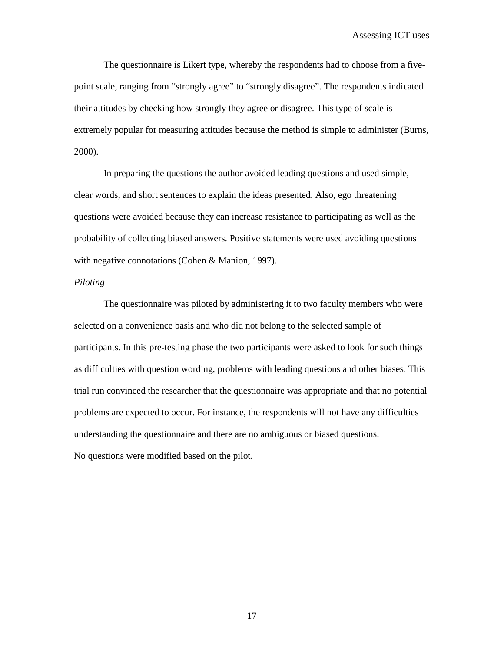The questionnaire is Likert type, whereby the respondents had to choose from a fivepoint scale, ranging from "strongly agree" to "strongly disagree". The respondents indicated their attitudes by checking how strongly they agree or disagree. This type of scale is extremely popular for measuring attitudes because the method is simple to administer (Burns, 2000).

In preparing the questions the author avoided leading questions and used simple, clear words, and short sentences to explain the ideas presented. Also, ego threatening questions were avoided because they can increase resistance to participating as well as the probability of collecting biased answers. Positive statements were used avoiding questions with negative connotations (Cohen & Manion, 1997).

#### *Piloting*

The questionnaire was piloted by administering it to two faculty members who were selected on a convenience basis and who did not belong to the selected sample of participants. In this pre-testing phase the two participants were asked to look for such things as difficulties with question wording, problems with leading questions and other biases. This trial run convinced the researcher that the questionnaire was appropriate and that no potential problems are expected to occur. For instance, the respondents will not have any difficulties understanding the questionnaire and there are no ambiguous or biased questions. No questions were modified based on the pilot.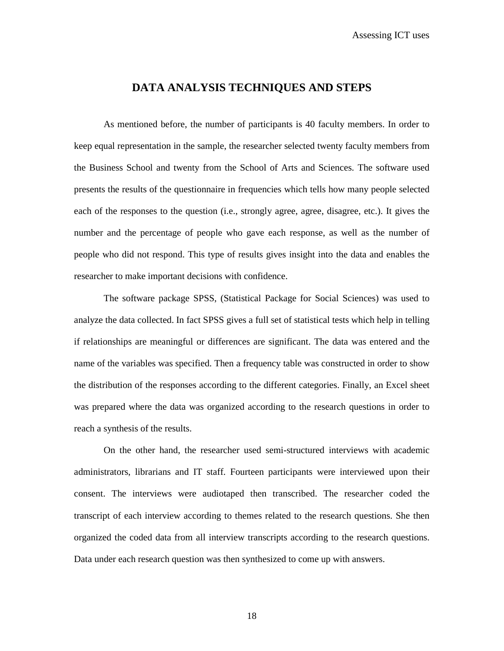# **DATA ANALYSIS TECHNIQUES AND STEPS**

As mentioned before, the number of participants is 40 faculty members. In order to keep equal representation in the sample, the researcher selected twenty faculty members from the Business School and twenty from the School of Arts and Sciences. The software used presents the results of the questionnaire in frequencies which tells how many people selected each of the responses to the question (i.e., strongly agree, agree, disagree, etc.). It gives the number and the percentage of people who gave each response, as well as the number of people who did not respond. This type of results gives insight into the data and enables the researcher to make important decisions with confidence.

The software package SPSS, (Statistical Package for Social Sciences) was used to analyze the data collected. In fact SPSS gives a full set of statistical tests which help in telling if relationships are meaningful or differences are significant. The data was entered and the name of the variables was specified. Then a frequency table was constructed in order to show the distribution of the responses according to the different categories. Finally, an Excel sheet was prepared where the data was organized according to the research questions in order to reach a synthesis of the results.

On the other hand, the researcher used semi-structured interviews with academic administrators, librarians and IT staff. Fourteen participants were interviewed upon their consent. The interviews were audiotaped then transcribed. The researcher coded the transcript of each interview according to themes related to the research questions. She then organized the coded data from all interview transcripts according to the research questions. Data under each research question was then synthesized to come up with answers.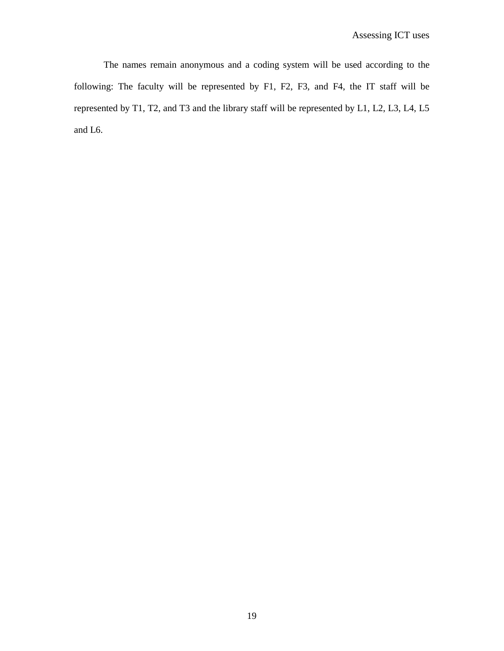The names remain anonymous and a coding system will be used according to the following: The faculty will be represented by F1, F2, F3, and F4, the IT staff will be represented by T1, T2, and T3 and the library staff will be represented by L1, L2, L3, L4, L5 and L6.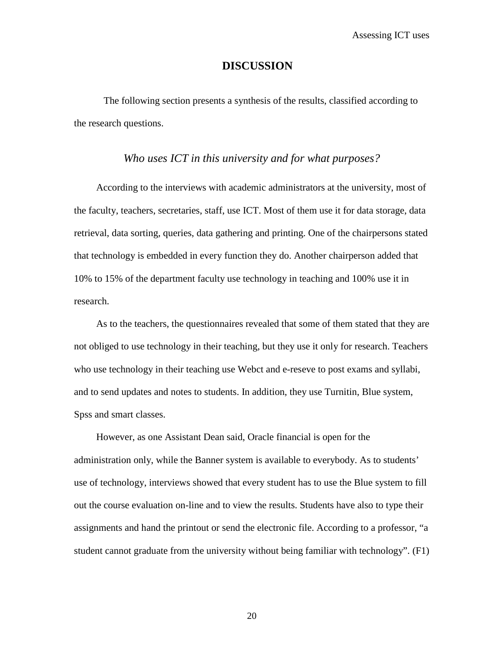### **DISCUSSION**

The following section presents a synthesis of the results, classified according to the research questions.

### *Who uses ICT in this university and for what purposes?*

According to the interviews with academic administrators at the university, most of the faculty, teachers, secretaries, staff, use ICT. Most of them use it for data storage, data retrieval, data sorting, queries, data gathering and printing. One of the chairpersons stated that technology is embedded in every function they do. Another chairperson added that 10% to 15% of the department faculty use technology in teaching and 100% use it in research.

As to the teachers, the questionnaires revealed that some of them stated that they are not obliged to use technology in their teaching, but they use it only for research. Teachers who use technology in their teaching use Webct and e-reseve to post exams and syllabi, and to send updates and notes to students. In addition, they use Turnitin, Blue system, Spss and smart classes.

However, as one Assistant Dean said, Oracle financial is open for the administration only, while the Banner system is available to everybody. As to students' use of technology, interviews showed that every student has to use the Blue system to fill out the course evaluation on-line and to view the results. Students have also to type their assignments and hand the printout or send the electronic file. According to a professor, "a student cannot graduate from the university without being familiar with technology". (F1)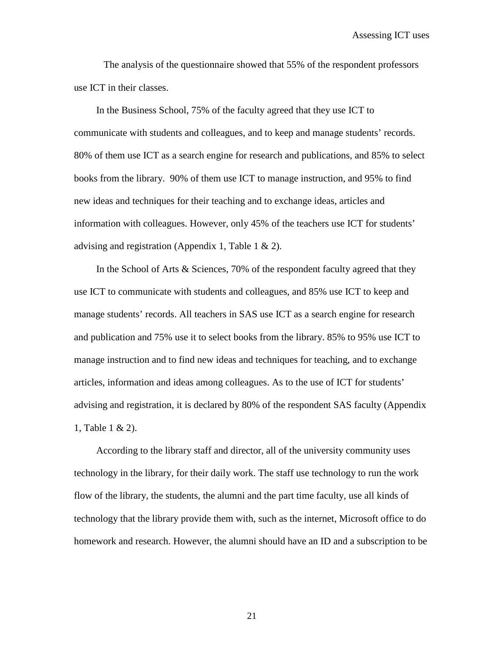The analysis of the questionnaire showed that 55% of the respondent professors use ICT in their classes.

In the Business School, 75% of the faculty agreed that they use ICT to communicate with students and colleagues, and to keep and manage students' records. 80% of them use ICT as a search engine for research and publications, and 85% to select books from the library. 90% of them use ICT to manage instruction, and 95% to find new ideas and techniques for their teaching and to exchange ideas, articles and information with colleagues. However, only 45% of the teachers use ICT for students' advising and registration (Appendix 1, Table 1 & 2).

In the School of Arts & Sciences, 70% of the respondent faculty agreed that they use ICT to communicate with students and colleagues, and 85% use ICT to keep and manage students' records. All teachers in SAS use ICT as a search engine for research and publication and 75% use it to select books from the library. 85% to 95% use ICT to manage instruction and to find new ideas and techniques for teaching, and to exchange articles, information and ideas among colleagues. As to the use of ICT for students' advising and registration, it is declared by 80% of the respondent SAS faculty (Appendix 1, Table 1 & 2).

According to the library staff and director, all of the university community uses technology in the library, for their daily work. The staff use technology to run the work flow of the library, the students, the alumni and the part time faculty, use all kinds of technology that the library provide them with, such as the internet, Microsoft office to do homework and research. However, the alumni should have an ID and a subscription to be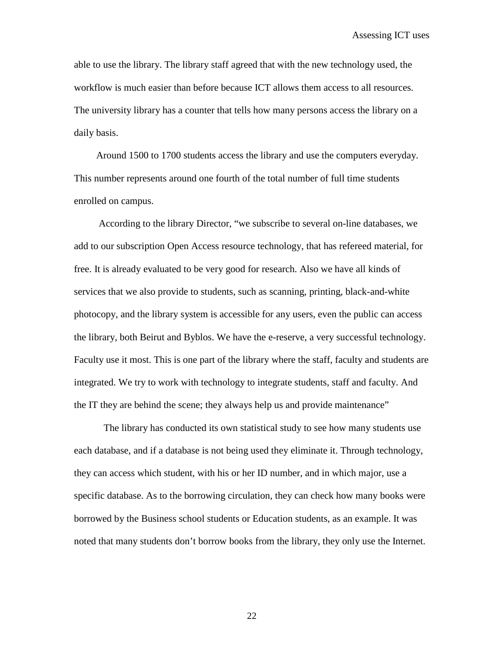able to use the library. The library staff agreed that with the new technology used, the workflow is much easier than before because ICT allows them access to all resources. The university library has a counter that tells how many persons access the library on a daily basis.

Around 1500 to 1700 students access the library and use the computers everyday. This number represents around one fourth of the total number of full time students enrolled on campus.

According to the library Director, "we subscribe to several on-line databases, we add to our subscription Open Access resource technology, that has refereed material, for free. It is already evaluated to be very good for research. Also we have all kinds of services that we also provide to students, such as scanning, printing, black-and-white photocopy, and the library system is accessible for any users, even the public can access the library, both Beirut and Byblos. We have the e-reserve, a very successful technology. Faculty use it most. This is one part of the library where the staff, faculty and students are integrated. We try to work with technology to integrate students, staff and faculty. And the IT they are behind the scene; they always help us and provide maintenance"

The library has conducted its own statistical study to see how many students use each database, and if a database is not being used they eliminate it. Through technology, they can access which student, with his or her ID number, and in which major, use a specific database. As to the borrowing circulation, they can check how many books were borrowed by the Business school students or Education students, as an example. It was noted that many students don't borrow books from the library, they only use the Internet.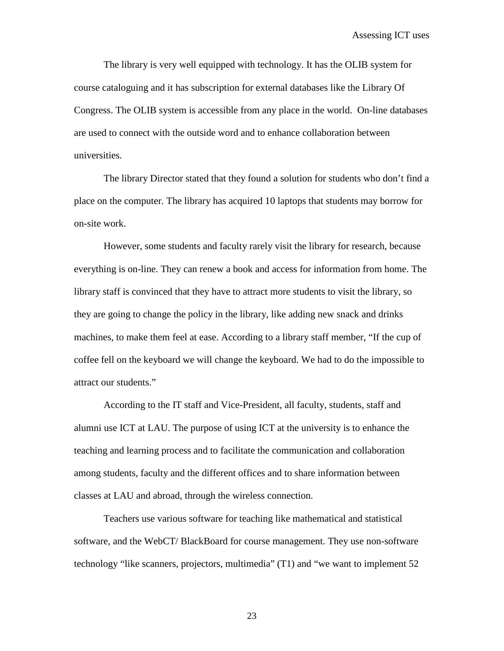The library is very well equipped with technology. It has the OLIB system for course cataloguing and it has subscription for external databases like the Library Of Congress. The OLIB system is accessible from any place in the world. On-line databases are used to connect with the outside word and to enhance collaboration between universities.

The library Director stated that they found a solution for students who don't find a place on the computer. The library has acquired 10 laptops that students may borrow for on-site work.

However, some students and faculty rarely visit the library for research, because everything is on-line. They can renew a book and access for information from home. The library staff is convinced that they have to attract more students to visit the library, so they are going to change the policy in the library, like adding new snack and drinks machines, to make them feel at ease. According to a library staff member, "If the cup of coffee fell on the keyboard we will change the keyboard. We had to do the impossible to attract our students."

According to the IT staff and Vice-President, all faculty, students, staff and alumni use ICT at LAU. The purpose of using ICT at the university is to enhance the teaching and learning process and to facilitate the communication and collaboration among students, faculty and the different offices and to share information between classes at LAU and abroad, through the wireless connection.

Teachers use various software for teaching like mathematical and statistical software, and the WebCT/ BlackBoard for course management. They use non-software technology "like scanners, projectors, multimedia" (T1) and "we want to implement 52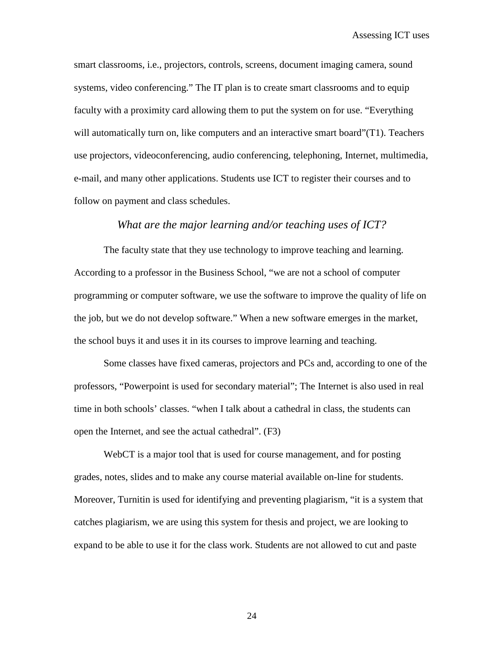smart classrooms, i.e., projectors, controls, screens, document imaging camera, sound systems, video conferencing." The IT plan is to create smart classrooms and to equip faculty with a proximity card allowing them to put the system on for use. "Everything will automatically turn on, like computers and an interactive smart board"(T1). Teachers use projectors, videoconferencing, audio conferencing, telephoning, Internet, multimedia, e-mail, and many other applications. Students use ICT to register their courses and to follow on payment and class schedules.

### *What are the major learning and/or teaching uses of ICT?*

The faculty state that they use technology to improve teaching and learning. According to a professor in the Business School, "we are not a school of computer programming or computer software, we use the software to improve the quality of life on the job, but we do not develop software." When a new software emerges in the market, the school buys it and uses it in its courses to improve learning and teaching.

Some classes have fixed cameras, projectors and PCs and, according to one of the professors, "Powerpoint is used for secondary material"; The Internet is also used in real time in both schools' classes. "when I talk about a cathedral in class, the students can open the Internet, and see the actual cathedral". (F3)

WebCT is a major tool that is used for course management, and for posting grades, notes, slides and to make any course material available on-line for students. Moreover, Turnitin is used for identifying and preventing plagiarism, "it is a system that catches plagiarism, we are using this system for thesis and project, we are looking to expand to be able to use it for the class work. Students are not allowed to cut and paste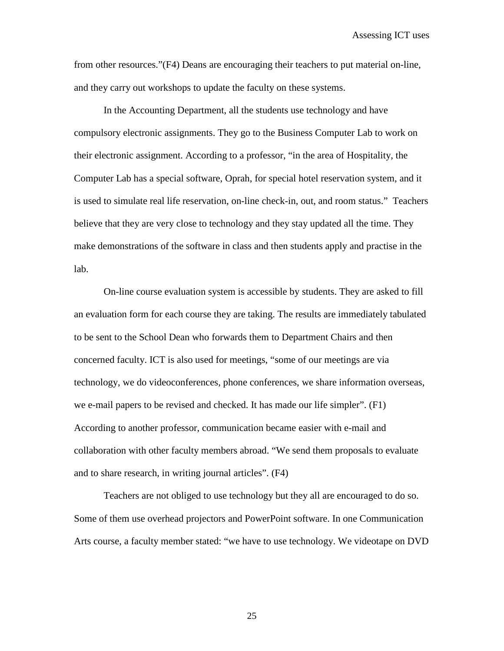from other resources."(F4) Deans are encouraging their teachers to put material on-line, and they carry out workshops to update the faculty on these systems.

In the Accounting Department, all the students use technology and have compulsory electronic assignments. They go to the Business Computer Lab to work on their electronic assignment. According to a professor, "in the area of Hospitality, the Computer Lab has a special software, Oprah, for special hotel reservation system, and it is used to simulate real life reservation, on-line check-in, out, and room status." Teachers believe that they are very close to technology and they stay updated all the time. They make demonstrations of the software in class and then students apply and practise in the lab.

On-line course evaluation system is accessible by students. They are asked to fill an evaluation form for each course they are taking. The results are immediately tabulated to be sent to the School Dean who forwards them to Department Chairs and then concerned faculty. ICT is also used for meetings, "some of our meetings are via technology, we do videoconferences, phone conferences, we share information overseas, we e-mail papers to be revised and checked. It has made our life simpler". (F1) According to another professor, communication became easier with e-mail and collaboration with other faculty members abroad. "We send them proposals to evaluate and to share research, in writing journal articles". (F4)

Teachers are not obliged to use technology but they all are encouraged to do so. Some of them use overhead projectors and PowerPoint software. In one Communication Arts course, a faculty member stated: "we have to use technology. We videotape on DVD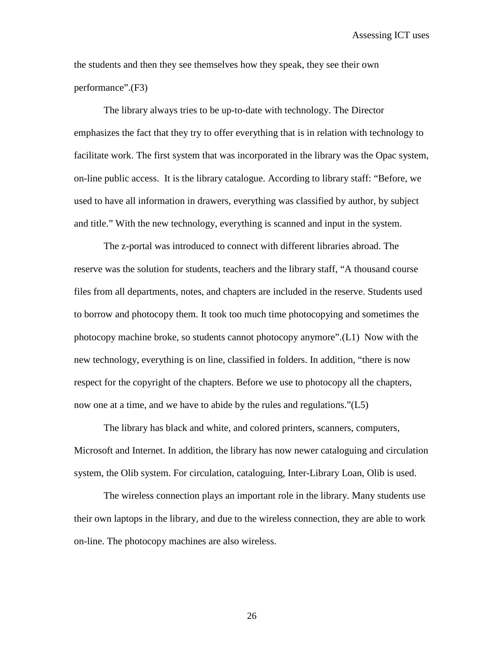Assessing ICT uses

the students and then they see themselves how they speak, they see their own performance".(F3)

The library always tries to be up-to-date with technology. The Director emphasizes the fact that they try to offer everything that is in relation with technology to facilitate work. The first system that was incorporated in the library was the Opac system, on-line public access. It is the library catalogue. According to library staff: "Before, we used to have all information in drawers, everything was classified by author, by subject and title." With the new technology, everything is scanned and input in the system.

The z-portal was introduced to connect with different libraries abroad. The reserve was the solution for students, teachers and the library staff, "A thousand course files from all departments, notes, and chapters are included in the reserve. Students used to borrow and photocopy them. It took too much time photocopying and sometimes the photocopy machine broke, so students cannot photocopy anymore".(L1) Now with the new technology, everything is on line, classified in folders. In addition, "there is now respect for the copyright of the chapters. Before we use to photocopy all the chapters, now one at a time, and we have to abide by the rules and regulations."(L5)

The library has black and white, and colored printers, scanners, computers, Microsoft and Internet. In addition, the library has now newer cataloguing and circulation system, the Olib system. For circulation, cataloguing, Inter-Library Loan, Olib is used.

The wireless connection plays an important role in the library. Many students use their own laptops in the library, and due to the wireless connection, they are able to work on-line. The photocopy machines are also wireless.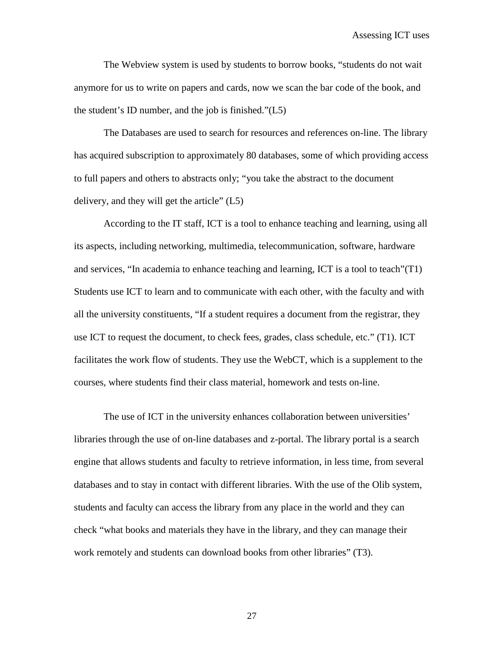Assessing ICT uses

The Webview system is used by students to borrow books, "students do not wait anymore for us to write on papers and cards, now we scan the bar code of the book, and the student's ID number, and the job is finished."(L5)

The Databases are used to search for resources and references on-line. The library has acquired subscription to approximately 80 databases, some of which providing access to full papers and others to abstracts only; "you take the abstract to the document delivery, and they will get the article" (L5)

According to the IT staff, ICT is a tool to enhance teaching and learning, using all its aspects, including networking, multimedia, telecommunication, software, hardware and services, "In academia to enhance teaching and learning, ICT is a tool to teach"(T1) Students use ICT to learn and to communicate with each other, with the faculty and with all the university constituents, "If a student requires a document from the registrar, they use ICT to request the document, to check fees, grades, class schedule, etc." (T1). ICT facilitates the work flow of students. They use the WebCT, which is a supplement to the courses, where students find their class material, homework and tests on-line.

The use of ICT in the university enhances collaboration between universities' libraries through the use of on-line databases and z-portal. The library portal is a search engine that allows students and faculty to retrieve information, in less time, from several databases and to stay in contact with different libraries. With the use of the Olib system, students and faculty can access the library from any place in the world and they can check "what books and materials they have in the library, and they can manage their work remotely and students can download books from other libraries" (T3).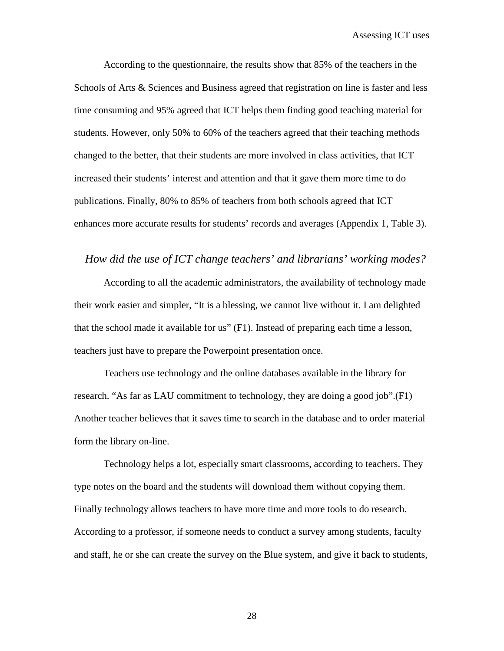According to the questionnaire, the results show that 85% of the teachers in the Schools of Arts & Sciences and Business agreed that registration on line is faster and less time consuming and 95% agreed that ICT helps them finding good teaching material for students. However, only 50% to 60% of the teachers agreed that their teaching methods changed to the better, that their students are more involved in class activities, that ICT increased their students' interest and attention and that it gave them more time to do publications. Finally, 80% to 85% of teachers from both schools agreed that ICT enhances more accurate results for students' records and averages (Appendix 1, Table 3).

### *How did the use of ICT change teachers' and librarians' working modes?*

According to all the academic administrators, the availability of technology made their work easier and simpler, "It is a blessing, we cannot live without it. I am delighted that the school made it available for us" (F1). Instead of preparing each time a lesson, teachers just have to prepare the Powerpoint presentation once.

Teachers use technology and the online databases available in the library for research. "As far as LAU commitment to technology, they are doing a good job".(F1) Another teacher believes that it saves time to search in the database and to order material form the library on-line.

Technology helps a lot, especially smart classrooms, according to teachers. They type notes on the board and the students will download them without copying them. Finally technology allows teachers to have more time and more tools to do research. According to a professor, if someone needs to conduct a survey among students, faculty and staff, he or she can create the survey on the Blue system, and give it back to students,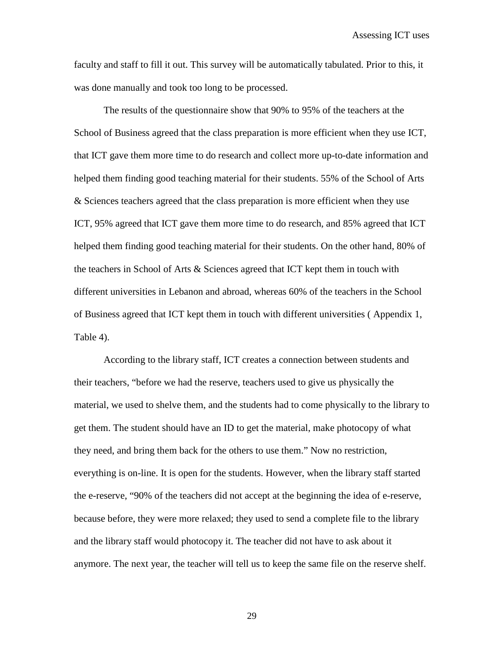faculty and staff to fill it out. This survey will be automatically tabulated. Prior to this, it was done manually and took too long to be processed.

The results of the questionnaire show that 90% to 95% of the teachers at the School of Business agreed that the class preparation is more efficient when they use ICT, that ICT gave them more time to do research and collect more up-to-date information and helped them finding good teaching material for their students. 55% of the School of Arts & Sciences teachers agreed that the class preparation is more efficient when they use ICT, 95% agreed that ICT gave them more time to do research, and 85% agreed that ICT helped them finding good teaching material for their students. On the other hand, 80% of the teachers in School of Arts & Sciences agreed that ICT kept them in touch with different universities in Lebanon and abroad, whereas 60% of the teachers in the School of Business agreed that ICT kept them in touch with different universities ( Appendix 1, Table 4).

According to the library staff, ICT creates a connection between students and their teachers, "before we had the reserve, teachers used to give us physically the material, we used to shelve them, and the students had to come physically to the library to get them. The student should have an ID to get the material, make photocopy of what they need, and bring them back for the others to use them." Now no restriction, everything is on-line. It is open for the students. However, when the library staff started the e-reserve, "90% of the teachers did not accept at the beginning the idea of e-reserve, because before, they were more relaxed; they used to send a complete file to the library and the library staff would photocopy it. The teacher did not have to ask about it anymore. The next year, the teacher will tell us to keep the same file on the reserve shelf.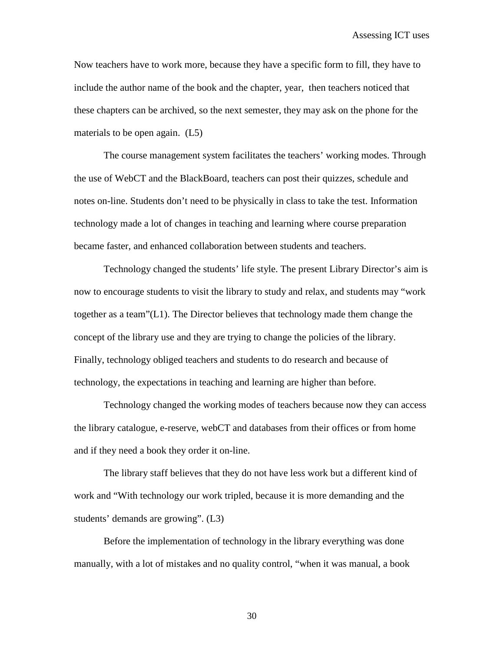Now teachers have to work more, because they have a specific form to fill, they have to include the author name of the book and the chapter, year, then teachers noticed that these chapters can be archived, so the next semester, they may ask on the phone for the materials to be open again. (L5)

The course management system facilitates the teachers' working modes. Through the use of WebCT and the BlackBoard, teachers can post their quizzes, schedule and notes on-line. Students don't need to be physically in class to take the test. Information technology made a lot of changes in teaching and learning where course preparation became faster, and enhanced collaboration between students and teachers.

Technology changed the students' life style. The present Library Director's aim is now to encourage students to visit the library to study and relax, and students may "work together as a team"(L1). The Director believes that technology made them change the concept of the library use and they are trying to change the policies of the library. Finally, technology obliged teachers and students to do research and because of technology, the expectations in teaching and learning are higher than before.

Technology changed the working modes of teachers because now they can access the library catalogue, e-reserve, webCT and databases from their offices or from home and if they need a book they order it on-line.

The library staff believes that they do not have less work but a different kind of work and "With technology our work tripled, because it is more demanding and the students' demands are growing". (L3)

Before the implementation of technology in the library everything was done manually, with a lot of mistakes and no quality control, "when it was manual, a book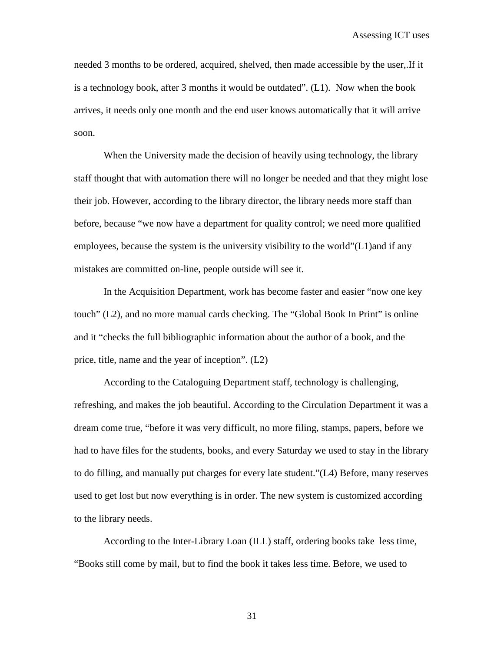needed 3 months to be ordered, acquired, shelved, then made accessible by the user,.If it is a technology book, after 3 months it would be outdated". (L1). Now when the book arrives, it needs only one month and the end user knows automatically that it will arrive soon.

When the University made the decision of heavily using technology, the library staff thought that with automation there will no longer be needed and that they might lose their job. However, according to the library director, the library needs more staff than before, because "we now have a department for quality control; we need more qualified employees, because the system is the university visibility to the world"(L1)and if any mistakes are committed on-line, people outside will see it.

In the Acquisition Department, work has become faster and easier "now one key touch" (L2), and no more manual cards checking. The "Global Book In Print" is online and it "checks the full bibliographic information about the author of a book, and the price, title, name and the year of inception". (L2)

According to the Cataloguing Department staff, technology is challenging, refreshing, and makes the job beautiful. According to the Circulation Department it was a dream come true, "before it was very difficult, no more filing, stamps, papers, before we had to have files for the students, books, and every Saturday we used to stay in the library to do filling, and manually put charges for every late student."(L4) Before, many reserves used to get lost but now everything is in order. The new system is customized according to the library needs.

According to the Inter-Library Loan (ILL) staff, ordering books take less time, "Books still come by mail, but to find the book it takes less time. Before, we used to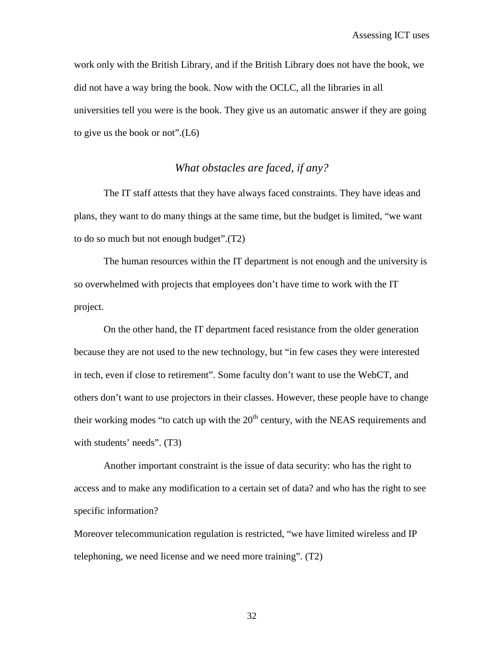work only with the British Library, and if the British Library does not have the book, we did not have a way bring the book. Now with the OCLC, all the libraries in all universities tell you were is the book. They give us an automatic answer if they are going to give us the book or not".(L6)

# *What obstacles are faced, if any?*

The IT staff attests that they have always faced constraints. They have ideas and plans, they want to do many things at the same time, but the budget is limited, "we want to do so much but not enough budget".(T2)

The human resources within the IT department is not enough and the university is so overwhelmed with projects that employees don't have time to work with the IT project.

On the other hand, the IT department faced resistance from the older generation because they are not used to the new technology, but "in few cases they were interested in tech, even if close to retirement". Some faculty don't want to use the WebCT, and others don't want to use projectors in their classes. However, these people have to change their working modes "to catch up with the  $20<sup>th</sup>$  century, with the NEAS requirements and with students' needs". (T3)

Another important constraint is the issue of data security: who has the right to access and to make any modification to a certain set of data? and who has the right to see specific information?

Moreover telecommunication regulation is restricted, "we have limited wireless and IP telephoning, we need license and we need more training". (T2)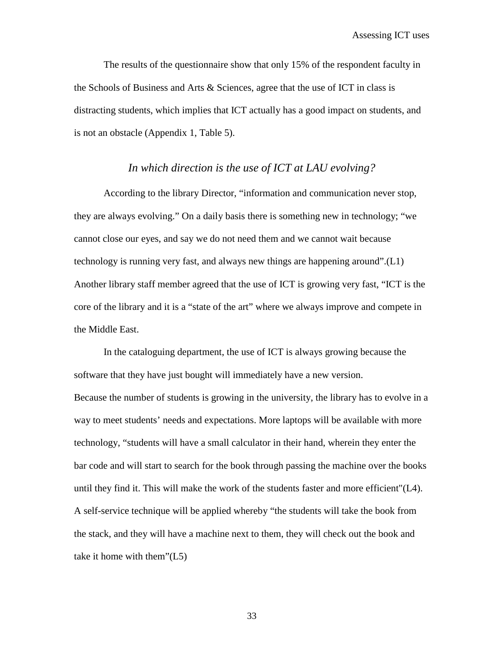The results of the questionnaire show that only 15% of the respondent faculty in the Schools of Business and Arts  $\&$  Sciences, agree that the use of ICT in class is distracting students, which implies that ICT actually has a good impact on students, and is not an obstacle (Appendix 1, Table 5).

# *In which direction is the use of ICT at LAU evolving?*

According to the library Director, "information and communication never stop, they are always evolving." On a daily basis there is something new in technology; "we cannot close our eyes, and say we do not need them and we cannot wait because technology is running very fast, and always new things are happening around".(L1) Another library staff member agreed that the use of ICT is growing very fast, "ICT is the core of the library and it is a "state of the art" where we always improve and compete in the Middle East.

In the cataloguing department, the use of ICT is always growing because the software that they have just bought will immediately have a new version. Because the number of students is growing in the university, the library has to evolve in a way to meet students' needs and expectations. More laptops will be available with more technology, "students will have a small calculator in their hand, wherein they enter the bar code and will start to search for the book through passing the machine over the books until they find it. This will make the work of the students faster and more efficient"(L4). A self-service technique will be applied whereby "the students will take the book from the stack, and they will have a machine next to them, they will check out the book and take it home with them"(L5)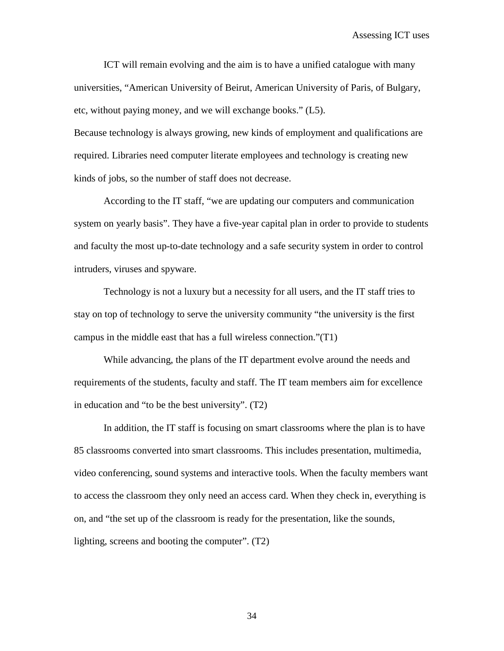ICT will remain evolving and the aim is to have a unified catalogue with many universities, "American University of Beirut, American University of Paris, of Bulgary, etc, without paying money, and we will exchange books." (L5).

Because technology is always growing, new kinds of employment and qualifications are required. Libraries need computer literate employees and technology is creating new kinds of jobs, so the number of staff does not decrease.

According to the IT staff, "we are updating our computers and communication system on yearly basis". They have a five-year capital plan in order to provide to students and faculty the most up-to-date technology and a safe security system in order to control intruders, viruses and spyware.

Technology is not a luxury but a necessity for all users, and the IT staff tries to stay on top of technology to serve the university community "the university is the first campus in the middle east that has a full wireless connection."(T1)

While advancing, the plans of the IT department evolve around the needs and requirements of the students, faculty and staff. The IT team members aim for excellence in education and "to be the best university". (T2)

In addition, the IT staff is focusing on smart classrooms where the plan is to have 85 classrooms converted into smart classrooms. This includes presentation, multimedia, video conferencing, sound systems and interactive tools. When the faculty members want to access the classroom they only need an access card. When they check in, everything is on, and "the set up of the classroom is ready for the presentation, like the sounds, lighting, screens and booting the computer". (T2)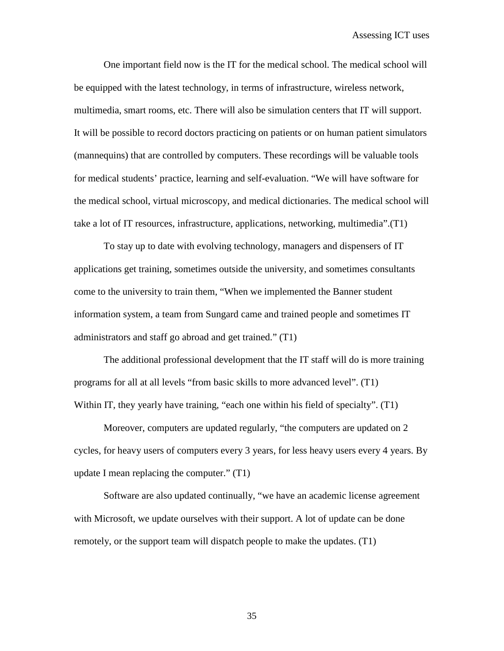One important field now is the IT for the medical school. The medical school will be equipped with the latest technology, in terms of infrastructure, wireless network, multimedia, smart rooms, etc. There will also be simulation centers that IT will support. It will be possible to record doctors practicing on patients or on human patient simulators (mannequins) that are controlled by computers. These recordings will be valuable tools for medical students' practice, learning and self-evaluation. "We will have software for the medical school, virtual microscopy, and medical dictionaries. The medical school will take a lot of IT resources, infrastructure, applications, networking, multimedia".(T1)

To stay up to date with evolving technology, managers and dispensers of IT applications get training, sometimes outside the university, and sometimes consultants come to the university to train them, "When we implemented the Banner student information system, a team from Sungard came and trained people and sometimes IT administrators and staff go abroad and get trained." (T1)

The additional professional development that the IT staff will do is more training programs for all at all levels "from basic skills to more advanced level". (T1) Within IT, they yearly have training, "each one within his field of specialty". (T1)

Moreover, computers are updated regularly, "the computers are updated on 2 cycles, for heavy users of computers every 3 years, for less heavy users every 4 years. By update I mean replacing the computer." (T1)

Software are also updated continually, "we have an academic license agreement with Microsoft, we update ourselves with their support. A lot of update can be done remotely, or the support team will dispatch people to make the updates. (T1)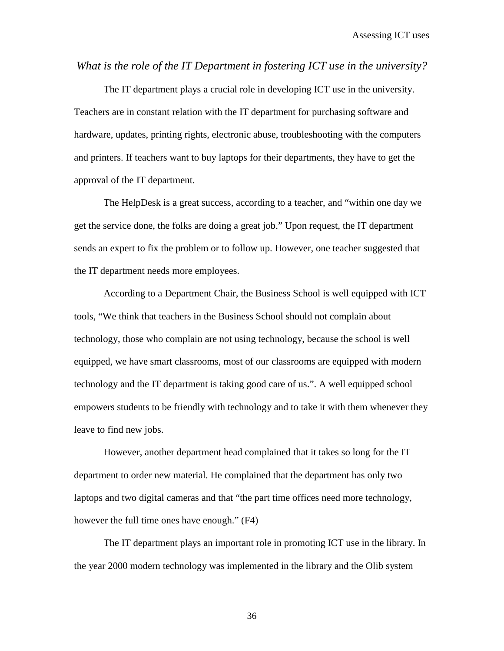*What is the role of the IT Department in fostering ICT use in the university?*

The IT department plays a crucial role in developing ICT use in the university. Teachers are in constant relation with the IT department for purchasing software and hardware, updates, printing rights, electronic abuse, troubleshooting with the computers and printers. If teachers want to buy laptops for their departments, they have to get the approval of the IT department.

The HelpDesk is a great success, according to a teacher, and "within one day we get the service done, the folks are doing a great job." Upon request, the IT department sends an expert to fix the problem or to follow up. However, one teacher suggested that the IT department needs more employees.

According to a Department Chair, the Business School is well equipped with ICT tools, "We think that teachers in the Business School should not complain about technology, those who complain are not using technology, because the school is well equipped, we have smart classrooms, most of our classrooms are equipped with modern technology and the IT department is taking good care of us.". A well equipped school empowers students to be friendly with technology and to take it with them whenever they leave to find new jobs.

However, another department head complained that it takes so long for the IT department to order new material. He complained that the department has only two laptops and two digital cameras and that "the part time offices need more technology, however the full time ones have enough." (F4)

The IT department plays an important role in promoting ICT use in the library. In the year 2000 modern technology was implemented in the library and the Olib system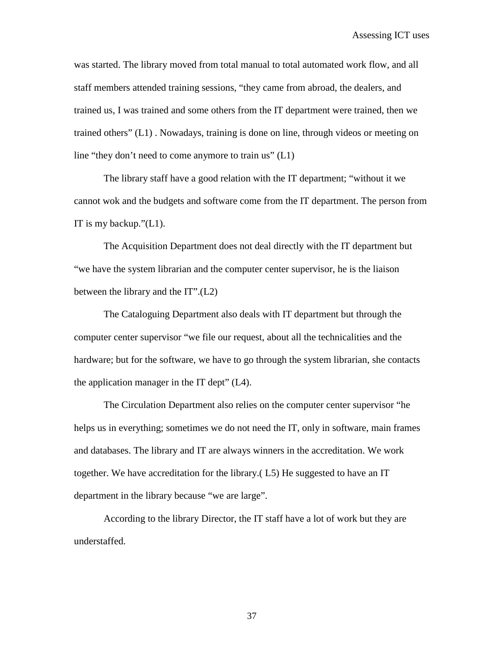was started. The library moved from total manual to total automated work flow, and all staff members attended training sessions, "they came from abroad, the dealers, and trained us, I was trained and some others from the IT department were trained, then we trained others" (L1) . Nowadays, training is done on line, through videos or meeting on line "they don't need to come anymore to train us" (L1)

The library staff have a good relation with the IT department; "without it we cannot wok and the budgets and software come from the IT department. The person from IT is my backup."(L1).

The Acquisition Department does not deal directly with the IT department but "we have the system librarian and the computer center supervisor, he is the liaison between the library and the IT".(L2)

The Cataloguing Department also deals with IT department but through the computer center supervisor "we file our request, about all the technicalities and the hardware; but for the software, we have to go through the system librarian, she contacts the application manager in the IT dept" (L4).

The Circulation Department also relies on the computer center supervisor "he helps us in everything; sometimes we do not need the IT, only in software, main frames and databases. The library and IT are always winners in the accreditation. We work together. We have accreditation for the library.( L5) He suggested to have an IT department in the library because "we are large".

According to the library Director, the IT staff have a lot of work but they are understaffed.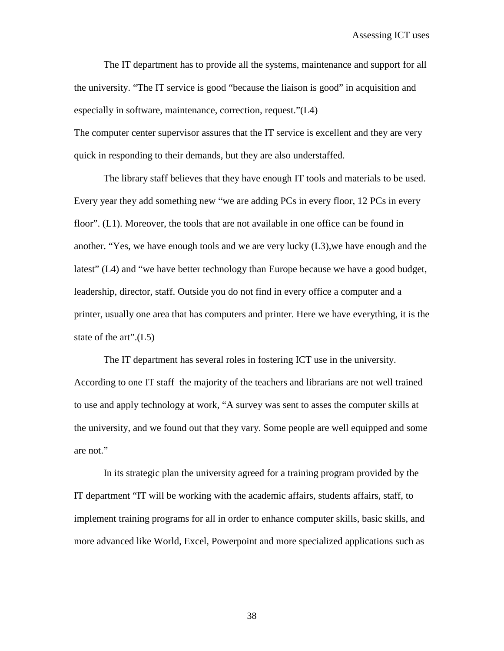Assessing ICT uses

The IT department has to provide all the systems, maintenance and support for all the university. "The IT service is good "because the liaison is good" in acquisition and especially in software, maintenance, correction, request."(L4)

The computer center supervisor assures that the IT service is excellent and they are very quick in responding to their demands, but they are also understaffed.

The library staff believes that they have enough IT tools and materials to be used. Every year they add something new "we are adding PCs in every floor, 12 PCs in every floor". (L1). Moreover, the tools that are not available in one office can be found in another. "Yes, we have enough tools and we are very lucky (L3),we have enough and the latest" (L4) and "we have better technology than Europe because we have a good budget, leadership, director, staff. Outside you do not find in every office a computer and a printer, usually one area that has computers and printer. Here we have everything, it is the state of the art".(L5)

The IT department has several roles in fostering ICT use in the university. According to one IT staff the majority of the teachers and librarians are not well trained to use and apply technology at work, "A survey was sent to asses the computer skills at the university, and we found out that they vary. Some people are well equipped and some are not."

In its strategic plan the university agreed for a training program provided by the IT department "IT will be working with the academic affairs, students affairs, staff, to implement training programs for all in order to enhance computer skills, basic skills, and more advanced like World, Excel, Powerpoint and more specialized applications such as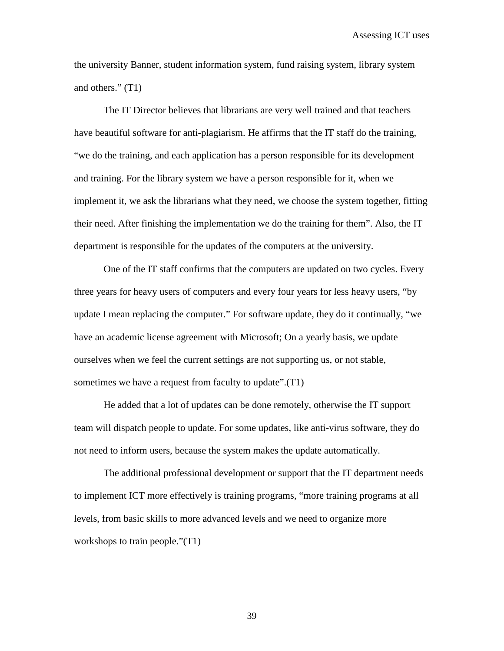the university Banner, student information system, fund raising system, library system and others." (T1)

The IT Director believes that librarians are very well trained and that teachers have beautiful software for anti-plagiarism. He affirms that the IT staff do the training, "we do the training, and each application has a person responsible for its development and training. For the library system we have a person responsible for it, when we implement it, we ask the librarians what they need, we choose the system together, fitting their need. After finishing the implementation we do the training for them". Also, the IT department is responsible for the updates of the computers at the university.

One of the IT staff confirms that the computers are updated on two cycles. Every three years for heavy users of computers and every four years for less heavy users, "by update I mean replacing the computer." For software update, they do it continually, "we have an academic license agreement with Microsoft; On a yearly basis, we update ourselves when we feel the current settings are not supporting us, or not stable, sometimes we have a request from faculty to update".(T1)

He added that a lot of updates can be done remotely, otherwise the IT support team will dispatch people to update. For some updates, like anti-virus software, they do not need to inform users, because the system makes the update automatically.

The additional professional development or support that the IT department needs to implement ICT more effectively is training programs, "more training programs at all levels, from basic skills to more advanced levels and we need to organize more workshops to train people."(T1)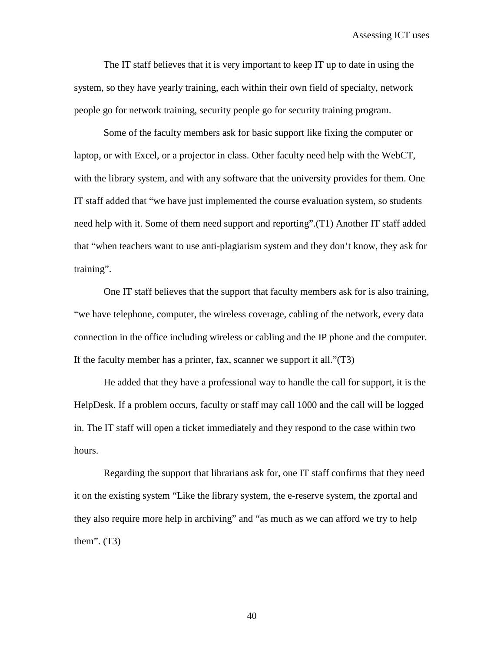The IT staff believes that it is very important to keep IT up to date in using the system, so they have yearly training, each within their own field of specialty, network people go for network training, security people go for security training program.

Some of the faculty members ask for basic support like fixing the computer or laptop, or with Excel, or a projector in class. Other faculty need help with the WebCT, with the library system, and with any software that the university provides for them. One IT staff added that "we have just implemented the course evaluation system, so students need help with it. Some of them need support and reporting".(T1) Another IT staff added that "when teachers want to use anti-plagiarism system and they don't know, they ask for training".

One IT staff believes that the support that faculty members ask for is also training, "we have telephone, computer, the wireless coverage, cabling of the network, every data connection in the office including wireless or cabling and the IP phone and the computer. If the faculty member has a printer, fax, scanner we support it all."(T3)

He added that they have a professional way to handle the call for support, it is the HelpDesk. If a problem occurs, faculty or staff may call 1000 and the call will be logged in. The IT staff will open a ticket immediately and they respond to the case within two hours.

Regarding the support that librarians ask for, one IT staff confirms that they need it on the existing system "Like the library system, the e-reserve system, the zportal and they also require more help in archiving" and "as much as we can afford we try to help them". (T3)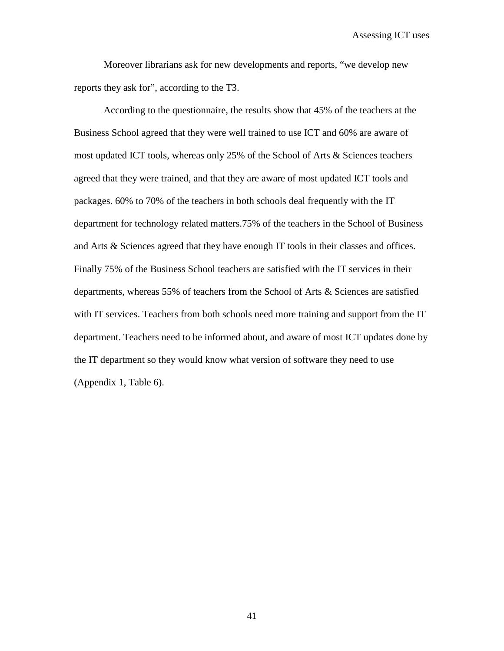Assessing ICT uses

Moreover librarians ask for new developments and reports, "we develop new reports they ask for", according to the T3.

According to the questionnaire, the results show that 45% of the teachers at the Business School agreed that they were well trained to use ICT and 60% are aware of most updated ICT tools, whereas only 25% of the School of Arts & Sciences teachers agreed that they were trained, and that they are aware of most updated ICT tools and packages. 60% to 70% of the teachers in both schools deal frequently with the IT department for technology related matters.75% of the teachers in the School of Business and Arts & Sciences agreed that they have enough IT tools in their classes and offices. Finally 75% of the Business School teachers are satisfied with the IT services in their departments, whereas 55% of teachers from the School of Arts & Sciences are satisfied with IT services. Teachers from both schools need more training and support from the IT department. Teachers need to be informed about, and aware of most ICT updates done by the IT department so they would know what version of software they need to use (Appendix 1, Table 6).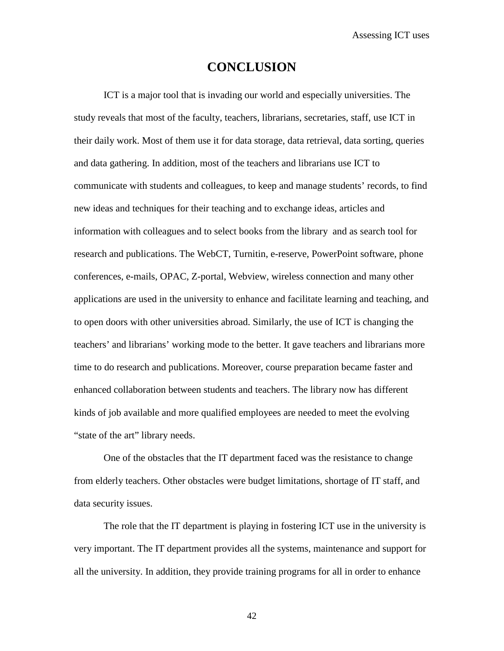# **CONCLUSION**

ICT is a major tool that is invading our world and especially universities. The study reveals that most of the faculty, teachers, librarians, secretaries, staff, use ICT in their daily work. Most of them use it for data storage, data retrieval, data sorting, queries and data gathering. In addition, most of the teachers and librarians use ICT to communicate with students and colleagues, to keep and manage students' records, to find new ideas and techniques for their teaching and to exchange ideas, articles and information with colleagues and to select books from the library and as search tool for research and publications. The WebCT, Turnitin, e-reserve, PowerPoint software, phone conferences, e-mails, OPAC, Z-portal, Webview, wireless connection and many other applications are used in the university to enhance and facilitate learning and teaching, and to open doors with other universities abroad. Similarly, the use of ICT is changing the teachers' and librarians' working mode to the better. It gave teachers and librarians more time to do research and publications. Moreover, course preparation became faster and enhanced collaboration between students and teachers. The library now has different kinds of job available and more qualified employees are needed to meet the evolving "state of the art" library needs.

One of the obstacles that the IT department faced was the resistance to change from elderly teachers. Other obstacles were budget limitations, shortage of IT staff, and data security issues.

The role that the IT department is playing in fostering ICT use in the university is very important. The IT department provides all the systems, maintenance and support for all the university. In addition, they provide training programs for all in order to enhance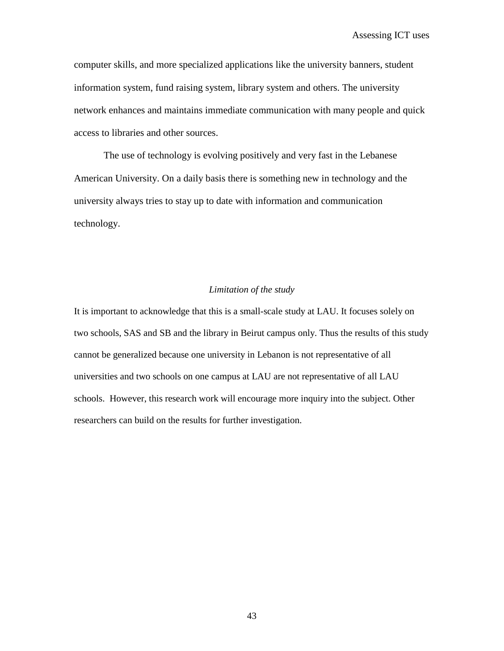computer skills, and more specialized applications like the university banners, student information system, fund raising system, library system and others. The university network enhances and maintains immediate communication with many people and quick access to libraries and other sources.

The use of technology is evolving positively and very fast in the Lebanese American University. On a daily basis there is something new in technology and the university always tries to stay up to date with information and communication technology.

#### *Limitation of the study*

It is important to acknowledge that this is a small-scale study at LAU. It focuses solely on two schools, SAS and SB and the library in Beirut campus only. Thus the results of this study cannot be generalized because one university in Lebanon is not representative of all universities and two schools on one campus at LAU are not representative of all LAU schools. However, this research work will encourage more inquiry into the subject. Other researchers can build on the results for further investigation.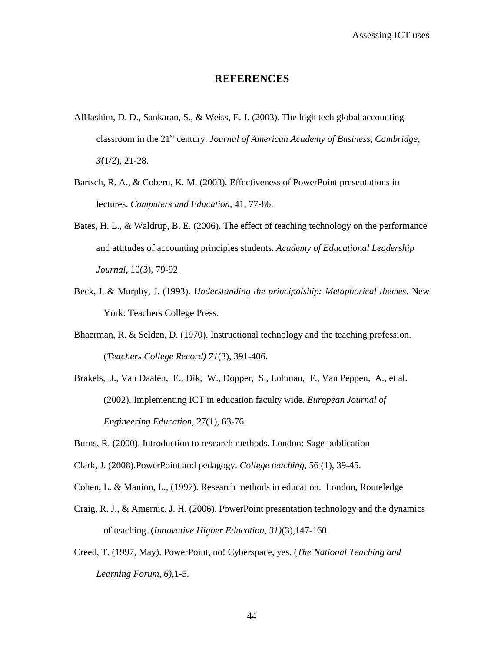## **REFERENCES**

- AlHashim, D. D., Sankaran, S., & Weiss, E. J. (2003). The high tech global accounting classroom in the 21st century. *Journal of American Academy of Business, Cambridge, 3*(1/2), 21-28.
- Bartsch, R. A., & Cobern, K. M. (2003). Effectiveness of PowerPoint presentations in lectures. *Computers and Education*, 41, 77-86.
- Bates, H. L., & Waldrup, B. E. (2006). The effect of teaching technology on the performance and attitudes of accounting principles students. *Academy of Educational Leadership Journal*, 10(3), 79-92.
- Beck, L.& Murphy, J. (1993). *Understanding the principalship: Metaphorical themes*. New York: Teachers College Press.
- Bhaerman, R. & Selden, D. (1970). Instructional technology and the teaching profession. (*Teachers College Record) 71*(3), 391-406.
- Brakels, J., Van Daalen, E., Dik, W., Dopper, S., Lohman, F., Van Peppen, A., et al. (2002). Implementing ICT in education faculty wide. *European Journal of Engineering Education*, 27(1), 63-76.
- Burns, R. (2000). Introduction to research methods. London: Sage publication
- Clark, J. (2008).PowerPoint and pedagogy. *College teaching*, 56 (1), 39-45.
- Cohen, L. & Manion, L., (1997). Research methods in education. London, Routeledge
- Craig, R. J., & Amernic, J. H. (2006). PowerPoint presentation technology and the dynamics of teaching. (*Innovative Higher Education, 31)*(3),147-160.
- Creed, T. (1997, May). PowerPoint, no! Cyberspace, yes. (*The National Teaching and Learning Forum, 6),*1-5.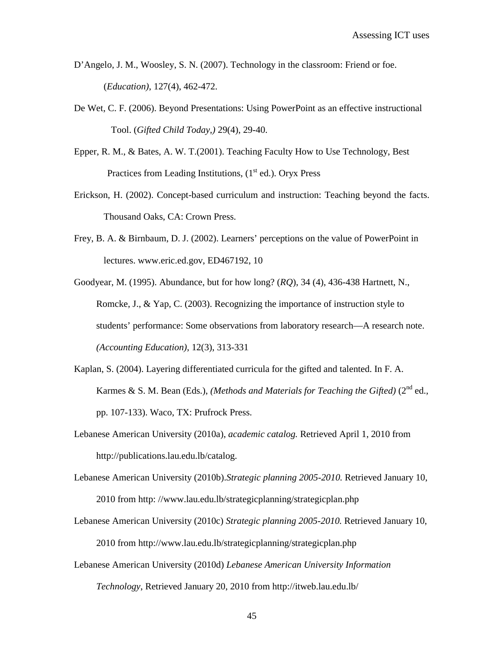- D'Angelo, J. M., Woosley, S. N. (2007). Technology in the classroom: Friend or foe. (*Education)*, 127(4), 462-472.
- De Wet, C. F. (2006). Beyond Presentations: Using PowerPoint as an effective instructional Tool. (*Gifted Child Today,)* 29(4), 29-40.
- Epper, R. M., & Bates, A. W. T.(2001). Teaching Faculty How to Use Technology, Best Practices from Leading Institutions,  $(1<sup>st</sup> ed.)$ . Oryx Press
- Erickson, H. (2002). Concept-based curriculum and instruction: Teaching beyond the facts. Thousand Oaks, CA: Crown Press.
- Frey, B. A. & Birnbaum, D. J. (2002). Learners' perceptions on the value of PowerPoint in lectures. www.eric.ed.gov, ED467192, 10
- Goodyear, M. (1995). Abundance, but for how long? (*RQ*), 34 (4), 436-438 Hartnett, N., Romcke, J., & Yap, C. (2003). Recognizing the importance of instruction style to students' performance: Some observations from laboratory research—A research note. *(Accounting Education)*, 12(3), 313-331
- Kaplan, S. (2004). Layering differentiated curricula for the gifted and talented. In F. A. Karmes & S. M. Bean (Eds.), *(Methods and Materials for Teaching the Gifted)* (2<sup>nd</sup> ed., pp. 107-133). Waco, TX: Prufrock Press.
- Lebanese American University (2010a), *academic catalog.* Retrieved April 1, 2010 from http://publications.lau.edu.lb/catalog.
- Lebanese American University (2010b).*Strategic planning 2005-2010.* Retrieved January 10, 2010 from http: //www.lau.edu.lb/strategicplanning/strategicplan.php
- Lebanese American University (2010c) *Strategic planning 2005-2010.* Retrieved January 10, 2010 from http://www.lau.edu.lb/strategicplanning/strategicplan.php
- Lebanese American University (2010d) *Lebanese American University Information Technology*, Retrieved January 20, 2010 from http://itweb.lau.edu.lb/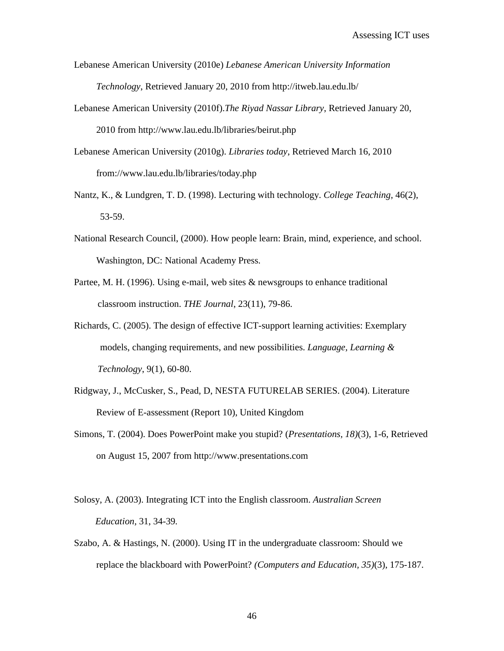- Lebanese American University (2010e) *Lebanese American University Information Technology*, Retrieved January 20, 2010 from http://itweb.lau.edu.lb/
- Lebanese American University (2010f).*The Riyad Nassar Library*, Retrieved January 20, 2010 from http://www.lau.edu.lb/libraries/beirut.php
- Lebanese American University (2010g). *Libraries today*, Retrieved March 16, 2010 from://www.lau.edu.lb/libraries/today.php
- Nantz, K., & Lundgren, T. D. (1998). Lecturing with technology. *College Teaching,* 46(2), 53-59.
- National Research Council, (2000). How people learn: Brain, mind, experience, and school. Washington, DC: National Academy Press.
- Partee, M. H. (1996). Using e-mail, web sites & newsgroups to enhance traditional classroom instruction. *THE Journal*, 23(11), 79-86.
- Richards, C. (2005). The design of effective ICT-support learning activities: Exemplary models, changing requirements, and new possibilities. *Language, Learning & Technology*, 9(1), 60-80.
- Ridgway, J., McCusker, S., Pead, D, NESTA FUTURELAB SERIES. (2004). Literature Review of E-assessment (Report 10), United Kingdom
- Simons, T. (2004). Does PowerPoint make you stupid? (*Presentations, 18)*(3), 1-6, Retrieved on August 15, 2007 from http://www.presentations.com
- Solosy, A. (2003). Integrating ICT into the English classroom. *Australian Screen Education,* 31, 34-39.
- Szabo, A. & Hastings, N. (2000). Using IT in the undergraduate classroom: Should we replace the blackboard with PowerPoint? *(Computers and Education, 35)*(3), 175-187.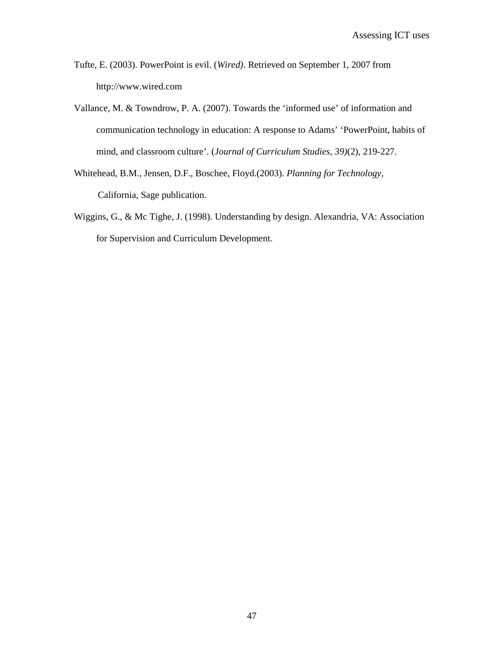- Tufte, E. (2003). PowerPoint is evil. (*Wired)*. Retrieved on September 1, 2007 from http://www.wired.com
- Vallance, M. & Towndrow, P. A. (2007). Towards the 'informed use' of information and communication technology in education: A response to Adams' 'PowerPoint, habits of mind, and classroom culture'. (*Journal of Curriculum Studies, 39)*(2), 219-227.
- Whitehead, B.M., Jensen, D.F., Boschee, Floyd.(2003). *Planning for Technology*, California, Sage publication.
- Wiggins, G., & Mc Tighe, J. (1998). Understanding by design. Alexandria, VA: Association for Supervision and Curriculum Development.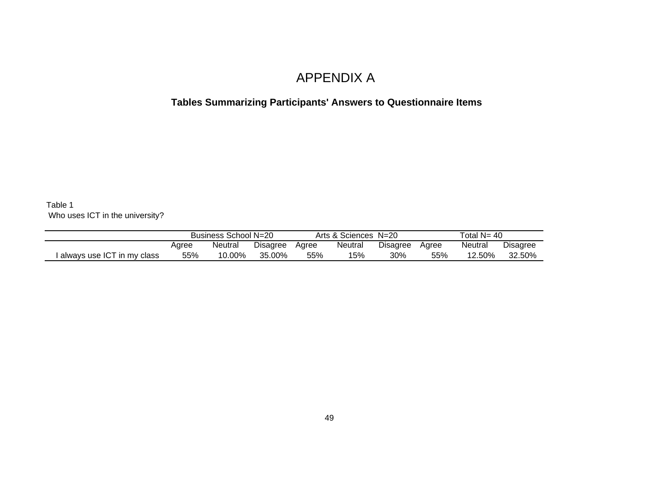# APPENDIX A

# **Tables Summarizing Participants' Answers to Questionnaire Items**

Table 1 Who uses ICT in the university?

|                            | Business School N=20         |        |        |                            | Arts & Sciences N=20 |                  | Total $N = 40$ |                 |        |
|----------------------------|------------------------------|--------|--------|----------------------------|----------------------|------------------|----------------|-----------------|--------|
|                            | Neutral<br>Disagree<br>Agree |        | Agree  | <b>Disagree</b><br>Neutral |                      | Neutral<br>Agree |                | <b>Disagree</b> |        |
| always use ICT in my class | 55%                          | 10.00% | 35.00% | 55%                        | 15%                  | 30%              | 55%            | 12.50%          | 32.50% |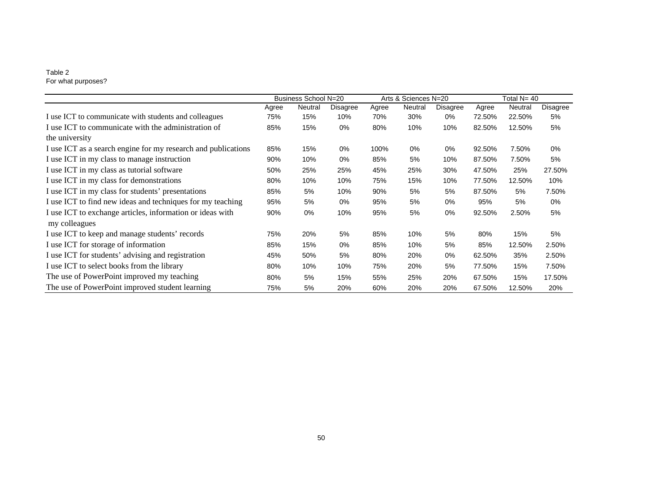#### Table 2 For what purposes?

|                                                               |       | Business School N=20 |          |       | Arts & Sciences N=20 |          |        | Total N= 40 |          |
|---------------------------------------------------------------|-------|----------------------|----------|-------|----------------------|----------|--------|-------------|----------|
|                                                               | Agree | Neutral              | Disagree | Agree | Neutral              | Disagree | Agree  | Neutral     | Disagree |
| I use ICT to communicate with students and colleagues         | 75%   | 15%                  | 10%      | 70%   | 30%                  | 0%       | 72.50% | 22.50%      | 5%       |
| I use ICT to communicate with the administration of           | 85%   | 15%                  | 0%       | 80%   | 10%                  | 10%      | 82.50% | 12.50%      | 5%       |
| the university                                                |       |                      |          |       |                      |          |        |             |          |
| I use ICT as a search engine for my research and publications | 85%   | 15%                  | 0%       | 100%  | 0%                   | 0%       | 92.50% | 7.50%       | 0%       |
| I use ICT in my class to manage instruction                   | 90%   | 10%                  | 0%       | 85%   | 5%                   | 10%      | 87.50% | 7.50%       | 5%       |
| I use ICT in my class as tutorial software                    | 50%   | 25%                  | 25%      | 45%   | 25%                  | 30%      | 47.50% | 25%         | 27.50%   |
| I use ICT in my class for demonstrations                      | 80%   | 10%                  | 10%      | 75%   | 15%                  | 10%      | 77.50% | 12.50%      | 10%      |
| I use ICT in my class for students' presentations             | 85%   | 5%                   | 10%      | 90%   | 5%                   | 5%       | 87.50% | 5%          | 7.50%    |
| I use ICT to find new ideas and techniques for my teaching    | 95%   | 5%                   | 0%       | 95%   | 5%                   | 0%       | 95%    | 5%          | 0%       |
| I use ICT to exchange articles, information or ideas with     | 90%   | $0\%$                | 10%      | 95%   | 5%                   | $0\%$    | 92.50% | 2.50%       | 5%       |
| my colleagues                                                 |       |                      |          |       |                      |          |        |             |          |
| I use ICT to keep and manage students' records                | 75%   | 20%                  | 5%       | 85%   | 10%                  | 5%       | 80%    | 15%         | 5%       |
| I use ICT for storage of information                          | 85%   | 15%                  | 0%       | 85%   | 10%                  | 5%       | 85%    | 12.50%      | 2.50%    |
| I use ICT for students' advising and registration             | 45%   | 50%                  | 5%       | 80%   | 20%                  | 0%       | 62.50% | 35%         | 2.50%    |
| I use ICT to select books from the library                    | 80%   | 10%                  | 10%      | 75%   | 20%                  | 5%       | 77.50% | 15%         | 7.50%    |
| The use of PowerPoint improved my teaching                    | 80%   | 5%                   | 15%      | 55%   | 25%                  | 20%      | 67.50% | 15%         | 17.50%   |
| The use of PowerPoint improved student learning               | 75%   | 5%                   | 20%      | 60%   | 20%                  | 20%      | 67.50% | 12.50%      | 20%      |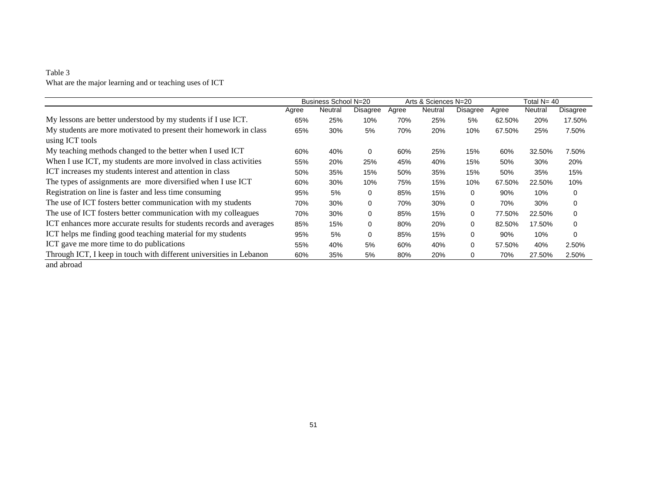#### Table 3 What are the major learning and or teaching uses of ICT

|                                                                                      |       | Business School N=20 |             |       | Arts & Sciences N=20 |             |        | Total $N = 40$ |             |
|--------------------------------------------------------------------------------------|-------|----------------------|-------------|-------|----------------------|-------------|--------|----------------|-------------|
|                                                                                      | Agree | Neutral              | Disagree    | Agree | Neutral              | Disagree    | Agree  | Neutral        | Disagree    |
| My lessons are better understood by my students if I use ICT.                        | 65%   | 25%                  | 10%         | 70%   | 25%                  | 5%          | 62.50% | 20%            | 17.50%      |
| My students are more motivated to present their homework in class<br>using ICT tools | 65%   | 30%                  | 5%          | 70%   | 20%                  | 10%         | 67.50% | 25%            | 7.50%       |
| My teaching methods changed to the better when I used ICT                            | 60%   | 40%                  | 0           | 60%   | 25%                  | 15%         | 60%    | 32.50%         | 7.50%       |
| When I use ICT, my students are more involved in class activities                    | 55%   | 20%                  | 25%         | 45%   | 40%                  | 15%         | 50%    | 30%            | 20%         |
| ICT increases my students interest and attention in class                            | 50%   | 35%                  | 15%         | 50%   | 35%                  | 15%         | 50%    | 35%            | 15%         |
| The types of assignments are more diversified when I use ICT                         | 60%   | 30%                  | 10%         | 75%   | 15%                  | 10%         | 67.50% | 22.50%         | 10%         |
| Registration on line is faster and less time consuming                               | 95%   | 5%                   | 0           | 85%   | 15%                  | 0           | 90%    | 10%            | $\mathbf 0$ |
| The use of ICT fosters better communication with my students                         | 70%   | 30%                  | $\mathbf 0$ | 70%   | 30%                  | $\mathbf 0$ | 70%    | 30%            | $\mathbf 0$ |
| The use of ICT fosters better communication with my colleagues                       | 70%   | 30%                  | $\mathbf 0$ | 85%   | 15%                  | 0           | 77.50% | 22.50%         | $\mathbf 0$ |
| ICT enhances more accurate results for students records and averages                 | 85%   | 15%                  | $\mathbf 0$ | 80%   | 20%                  | 0           | 82.50% | 17.50%         | $\mathbf 0$ |
| ICT helps me finding good teaching material for my students                          | 95%   | 5%                   | $\mathbf 0$ | 85%   | 15%                  | 0           | 90%    | 10%            | $\Omega$    |
| ICT gave me more time to do publications                                             | 55%   | 40%                  | 5%          | 60%   | 40%                  | 0           | 57.50% | 40%            | 2.50%       |
| Through ICT, I keep in touch with different universities in Lebanon                  | 60%   | 35%                  | 5%          | 80%   | 20%                  | 0           | 70%    | 27.50%         | 2.50%       |
| and abroad                                                                           |       |                      |             |       |                      |             |        |                |             |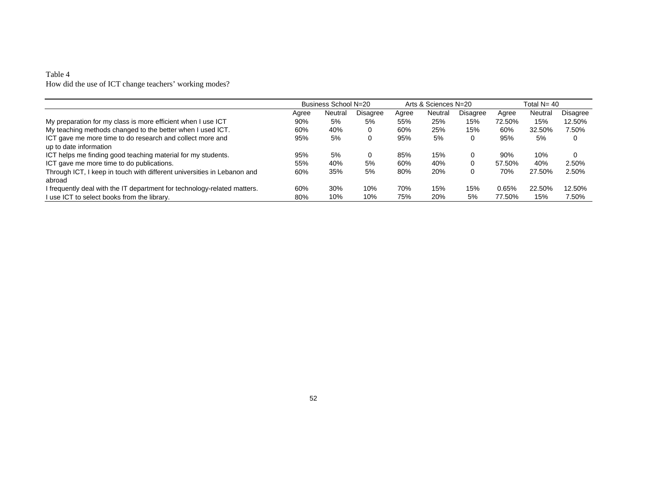#### Table 4 How did the use of ICT change teachers' working modes?

|                                                                          |       | Business School N=20 |          |       | Arts & Sciences N=20 |          |        | Total N= 40 |          |
|--------------------------------------------------------------------------|-------|----------------------|----------|-------|----------------------|----------|--------|-------------|----------|
|                                                                          | Agree | Neutral              | Disagree | Agree | Neutral              | Disagree | Agree  | Neutral     | Disagree |
| My preparation for my class is more efficient when I use ICT             | 90%   | 5%                   | 5%       | 55%   | 25%                  | 15%      | 72.50% | 15%         | 12.50%   |
| My teaching methods changed to the better when I used ICT.               | 60%   | 40%                  | 0        | 60%   | 25%                  | 15%      | 60%    | 32.50%      | 7.50%    |
| ICT gave me more time to do research and collect more and                | 95%   | 5%                   | 0        | 95%   | 5%                   | 0        | 95%    | 5%          | 0        |
| up to date information                                                   |       |                      |          |       |                      |          |        |             |          |
| ICT helps me finding good teaching material for my students.             | 95%   | 5%                   | 0        | 85%   | 15%                  | 0        | 90%    | 10%         | $\Omega$ |
| ICT gave me more time to do publications.                                | 55%   | 40%                  | 5%       | 60%   | 40%                  | 0        | 57.50% | 40%         | 2.50%    |
| Through ICT, I keep in touch with different universities in Lebanon and  | 60%   | 35%                  | 5%       | 80%   | 20%                  | 0        | 70%    | 27.50%      | 2.50%    |
| abroad                                                                   |       |                      |          |       |                      |          |        |             |          |
| I frequently deal with the IT department for technology-related matters. | 60%   | 30%                  | 10%      | 70%   | 15%                  | 15%      | 0.65%  | 22.50%      | 12.50%   |
| I use ICT to select books from the library.                              | 80%   | 10%                  | 10%      | 75%   | 20%                  | 5%       | 77.50% | 15%         | 7.50%    |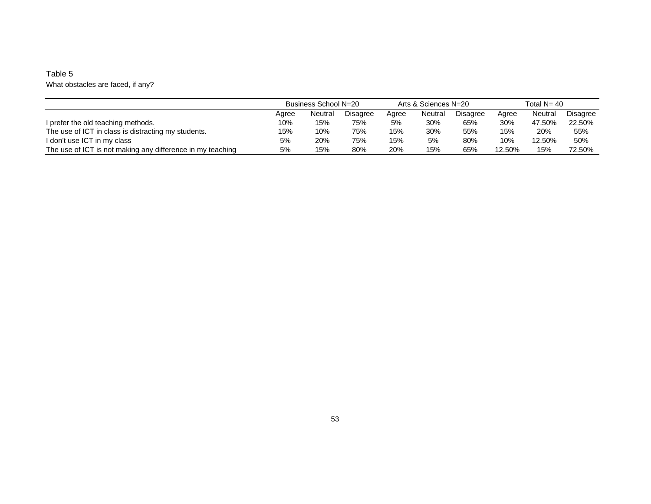#### Table 5 What obstacles are faced, if any?

|                                                            | Business School N=20 |         |          |       | Arts & Sciences N=20 |          | Total $N = 40$ |         |          |
|------------------------------------------------------------|----------------------|---------|----------|-------|----------------------|----------|----------------|---------|----------|
|                                                            | Agree                | Neutral | Disagree | Aaree | Neutral              | Disagree | Aaree          | Neutral | Disagree |
| I prefer the old teaching methods.                         | 10%                  | 15%     | 75%      | 5%    | 30%                  | 65%      | 30%            | 47.50%  | 22.50%   |
| The use of ICT in class is distracting my students.        | 15%                  | 10%     | 75%      | 15%   | 30%                  | 55%      | 15%            | 20%     | 55%      |
| I don't use ICT in my class                                | 5%                   | 20%     | 75%      | 15%   | 5%                   | 80%      | 10%            | 12.50%  | 50%      |
| The use of ICT is not making any difference in my teaching | 5%                   | 15%     | 80%      | 20%   | 15%                  | 65%      | 12.50%         | 15%     | 72.50%   |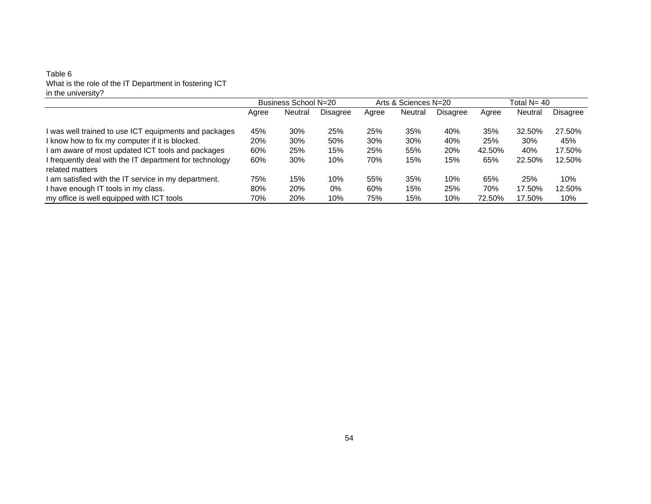#### Table 6 What is the role of the IT Department in fostering ICT in the university?

|                                                         |       | Business School N=20 |          | Arts & Sciences N=20 |         |          | Total N= 40 |         |          |
|---------------------------------------------------------|-------|----------------------|----------|----------------------|---------|----------|-------------|---------|----------|
|                                                         | Agree | Neutral              | Disagree | Agree                | Neutral | Disagree | Agree       | Neutral | Disagree |
| I was well trained to use ICT equipments and packages   | 45%   | 30%                  | 25%      | 25%                  | 35%     | 40%      | 35%         | 32.50%  | 27.50%   |
| I know how to fix my computer if it is blocked.         | 20%   | 30%                  | 50%      | 30%                  | 30%     | 40%      | 25%         | 30%     | 45%      |
| I am aware of most updated ICT tools and packages       | 60%   | 25%                  | 15%      | 25%                  | 55%     | 20%      | 42.50%      | 40%     | 17.50%   |
| I frequently deal with the IT department for technology | 60%   | 30%                  | 10%      | 70%                  | 15%     | 15%      | 65%         | 22.50%  | 12.50%   |
| related matters                                         |       |                      |          |                      |         |          |             |         |          |
| I am satisfied with the IT service in my department.    | 75%   | 15%                  | 10%      | 55%                  | 35%     | 10%      | 65%         | 25%     | 10%      |
| I have enough IT tools in my class.                     | 80%   | 20%                  | 0%       | 60%                  | 15%     | 25%      | 70%         | 17.50%  | 12.50%   |
| my office is well equipped with ICT tools               | 70%   | 20%                  | 10%      | 75%                  | 15%     | 10%      | 72.50%      | 17.50%  | 10%      |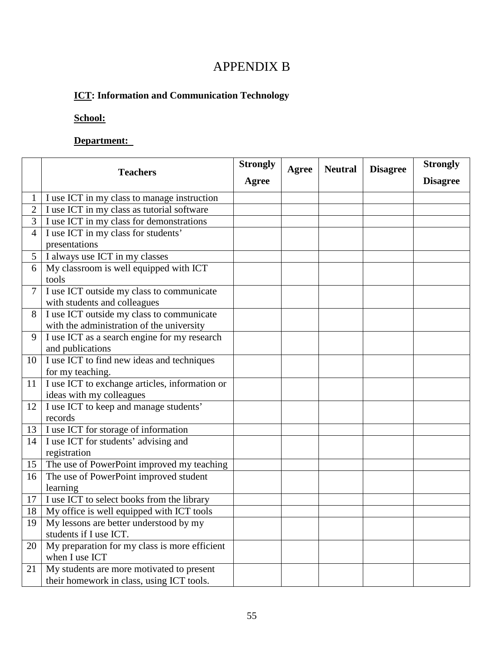# APPENDIX B

# **ICT: Information and Communication Technology**

# **School:**

# **Department:**

|                |                                                | <b>Strongly</b> | Agree | <b>Neutral</b> | <b>Disagree</b> | <b>Strongly</b> |
|----------------|------------------------------------------------|-----------------|-------|----------------|-----------------|-----------------|
|                | <b>Teachers</b>                                | Agree           |       |                |                 | <b>Disagree</b> |
|                | I use ICT in my class to manage instruction    |                 |       |                |                 |                 |
|                | I use ICT in my class as tutorial software     |                 |       |                |                 |                 |
| 3              | I use ICT in my class for demonstrations       |                 |       |                |                 |                 |
| $\overline{4}$ | I use ICT in my class for students'            |                 |       |                |                 |                 |
|                | presentations                                  |                 |       |                |                 |                 |
| 5 <sup>5</sup> | I always use ICT in my classes                 |                 |       |                |                 |                 |
| 6              | My classroom is well equipped with ICT         |                 |       |                |                 |                 |
|                | tools                                          |                 |       |                |                 |                 |
| $\overline{7}$ | I use ICT outside my class to communicate      |                 |       |                |                 |                 |
|                | with students and colleagues                   |                 |       |                |                 |                 |
| 8              | I use ICT outside my class to communicate      |                 |       |                |                 |                 |
|                | with the administration of the university      |                 |       |                |                 |                 |
| 9              | I use ICT as a search engine for my research   |                 |       |                |                 |                 |
|                | and publications                               |                 |       |                |                 |                 |
| 10             | I use ICT to find new ideas and techniques     |                 |       |                |                 |                 |
|                | for my teaching.                               |                 |       |                |                 |                 |
| 11             | I use ICT to exchange articles, information or |                 |       |                |                 |                 |
|                | ideas with my colleagues                       |                 |       |                |                 |                 |
| 12             | I use ICT to keep and manage students'         |                 |       |                |                 |                 |
|                | records                                        |                 |       |                |                 |                 |
| 13             | I use ICT for storage of information           |                 |       |                |                 |                 |
| 14             | I use ICT for students' advising and           |                 |       |                |                 |                 |
|                | registration                                   |                 |       |                |                 |                 |
| 15             | The use of PowerPoint improved my teaching     |                 |       |                |                 |                 |
| 16             | The use of PowerPoint improved student         |                 |       |                |                 |                 |
|                | learning                                       |                 |       |                |                 |                 |
| 17             | I use ICT to select books from the library     |                 |       |                |                 |                 |
| 18             | My office is well equipped with ICT tools      |                 |       |                |                 |                 |
| 19             | My lessons are better understood by my         |                 |       |                |                 |                 |
|                | students if I use ICT.                         |                 |       |                |                 |                 |
| 20             | My preparation for my class is more efficient  |                 |       |                |                 |                 |
|                | when I use ICT                                 |                 |       |                |                 |                 |
| 21             | My students are more motivated to present      |                 |       |                |                 |                 |
|                | their homework in class, using ICT tools.      |                 |       |                |                 |                 |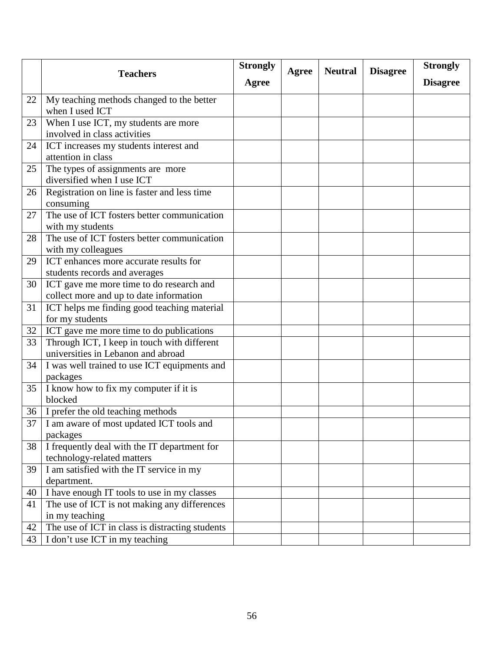|    | <b>Teachers</b>                                                                     | <b>Strongly</b> | Agree | <b>Neutral</b> | <b>Disagree</b> | <b>Strongly</b> |
|----|-------------------------------------------------------------------------------------|-----------------|-------|----------------|-----------------|-----------------|
|    |                                                                                     | Agree           |       |                |                 | <b>Disagree</b> |
| 22 | My teaching methods changed to the better<br>when I used ICT                        |                 |       |                |                 |                 |
| 23 | When I use ICT, my students are more<br>involved in class activities                |                 |       |                |                 |                 |
| 24 | ICT increases my students interest and<br>attention in class                        |                 |       |                |                 |                 |
| 25 | The types of assignments are more<br>diversified when I use ICT                     |                 |       |                |                 |                 |
| 26 | Registration on line is faster and less time<br>consuming                           |                 |       |                |                 |                 |
| 27 | The use of ICT fosters better communication<br>with my students                     |                 |       |                |                 |                 |
| 28 | The use of ICT fosters better communication<br>with my colleagues                   |                 |       |                |                 |                 |
| 29 | ICT enhances more accurate results for<br>students records and averages             |                 |       |                |                 |                 |
| 30 | ICT gave me more time to do research and<br>collect more and up to date information |                 |       |                |                 |                 |
| 31 | ICT helps me finding good teaching material<br>for my students                      |                 |       |                |                 |                 |
| 32 | ICT gave me more time to do publications                                            |                 |       |                |                 |                 |
| 33 | Through ICT, I keep in touch with different<br>universities in Lebanon and abroad   |                 |       |                |                 |                 |
| 34 | I was well trained to use ICT equipments and<br>packages                            |                 |       |                |                 |                 |
| 35 | I know how to fix my computer if it is<br>blocked                                   |                 |       |                |                 |                 |
| 36 | I prefer the old teaching methods                                                   |                 |       |                |                 |                 |
| 37 | I am aware of most updated ICT tools and<br>packages                                |                 |       |                |                 |                 |
| 38 | I frequently deal with the IT department for<br>technology-related matters          |                 |       |                |                 |                 |
| 39 | I am satisfied with the IT service in my<br>department.                             |                 |       |                |                 |                 |
| 40 | I have enough IT tools to use in my classes                                         |                 |       |                |                 |                 |
| 41 | The use of ICT is not making any differences<br>in my teaching                      |                 |       |                |                 |                 |
| 42 | The use of ICT in class is distracting students                                     |                 |       |                |                 |                 |
| 43 | I don't use ICT in my teaching                                                      |                 |       |                |                 |                 |